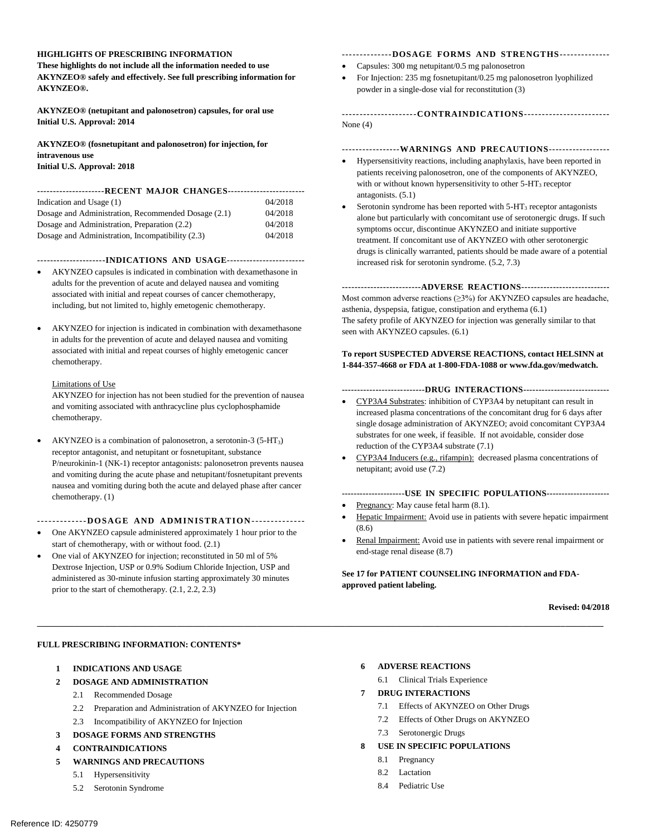#### **HIGHLIGHTS OF PRESCRIBING INFORMATION**

 **These highlights do not include all the information needed to use AKYNZEO® safely and effectively. See full prescribing information for AKYNZEO®.** 

 **AKYNZEO® (netupitant and palonosetron) capsules, for oral use Initial U.S. Approval: 2014** 

 **AKYNZEO® (fosnetupitant and palonosetron) for injection, for intravenous use** 

 **Initial U.S. Approval: 2018** 

#### **---------------------RECENT MAJOR CHANGES-----------------------**

| Indication and Usage (1)                            | 04/2018 |
|-----------------------------------------------------|---------|
| Dosage and Administration, Recommended Dosage (2.1) | 04/2018 |
| Dosage and Administration, Preparation (2.2)        | 04/2018 |
| Dosage and Administration, Incompatibility (2.3)    | 04/2018 |

 **---------------------INDICATIONS AND USAGE-----------------------**

- AKYNZEO capsules is indicated in combination with dexamethasone in adults for the prevention of acute and delayed nausea and vomiting associated with initial and repeat courses of cancer chemotherapy, including, but not limited to, highly emetogenic chemotherapy.
- AKYNZEO for injection is indicated in combination with dexamethasone in adults for the prevention of acute and delayed nausea and vomiting associated with initial and repeat courses of highly emetogenic cancer chemotherapy. Limitations of Use

 AKYNZEO for injection has not been studied for the prevention of nausea and vomiting associated with anthracycline plus cyclophosphamide chemotherapy.

- AKYNZEO is a combination of palonosetron, a serotonin-3 (5-HT<sub>3</sub>) receptor antagonist, and netupitant or fosnetupitant, substance P/neurokinin-1 (NK-1) receptor antagonists: palonosetron prevents nausea and vomiting during the acute phase and netupitant/fosnetupitant prevents nausea and vomiting during both the acute and delayed phase after cancer chemotherapy. [\(1\)](#page-1-0)
- **------------DOSAGE AND ADMINISTRATION---------------**
- One AKYNZEO capsule administered approximately 1 hour prior to the start of chemotherapy, with or without food. (2.1)
- One vial of AKYNZEO for injection; reconstituted in 50 ml of 5% Dextrose Injection, USP or 0.9% Sodium Chloride Injection, USP and administered as 30-minute infusion starting approximately 30 minutes prior to the start of chemotherapy. [\(2.1,](#page-1-1) 2.2, 2.3)

#### **--------------DOSAGE FORMS AND STRENGTHS-------------**

- Capsules: 300 mg netupitant/0.5 mg palonosetron
- For Injection: 235 mg fosnetupitant/0.25 mg palonosetron lyophilized powder in a single-dose vial for reconstitution [\(3\)](#page-3-1)

**---------------------CONTRAINDICATIONS-----------------------** None [\(4\)](#page-3-2)

#### **-----------------WARNINGS AND PRECAUTIONS-----------------**

- Hypersensitivity reactions, including anaphylaxis, have been reported in patients receiving palonosetron, one of the components of AKYNZEO, with or without known hypersensitivity to other  $5-HT<sub>3</sub>$  receptor antagonists. [\(5.1\)](#page-3-3)
- Serotonin syndrome has been reported with  $5-HT<sub>3</sub>$  receptor antagonists alone but particularly with concomitant use of serotonergic drugs. If such symptoms occur, discontinue AKYNZEO and initiate supportive treatment. If concomitant use of AKYNZEO with other serotonergic drugs is clinically warranted, patients should be made aware of a potential increased risk for serotonin syndrome. [\(5.2,](#page-3-4) [7.3\)](#page-7-0)

#### **-------------------------ADVERSE REACTIONS---------------------------**

 Most common adverse reactions (≥3%) for AKYNZEO capsules are headache, asthenia, dyspepsia, fatigue, constipation and erythema [\(6.1\)](#page-4-0) The safety profile of AKYNZEO for injection was generally similar to that seen with AKYNZEO capsules. [\(6.1\)](#page-4-1)

#### **To report SUSPECTED ADVERSE REACTIONS, contact HELSINN at 1-844-357-4668 or FDA at 1-800-FDA-1088 o[r www.fda.gov/medwatch.](http://www.fda.gov/medwatch)**

#### **---------------------------DRUG INTERACTIONS---------------------------**

- CYP3A4 Substrates: inhibition of CYP3A4 by netupitant can result in increased plasma concentrations of the concomitant drug for 6 days after single dosage administration of AKYNZEO; avoid concomitant CYP3A4 substrates for one week, if feasible. If not avoidable, consider dose reduction of the CYP3A4 substrate [\(7.1\)](#page-6-0)
- CYP3A4 Inducers (e.g., rifampin): decreased plasma concentrations of netupitant; avoid use [\(7.2\)](#page-7-1)

#### **---------------------USE IN SPECIFIC POPULATIONS--------------------**

- Pregnancy: May cause fetal harm  $(8.1)$ .
- Hepatic Impairment: Avoid use in patients with severe hepatic impairment [\(8.6\)](#page-10-0)
- Renal Impairment: Avoid use in patients with severe renal impairment or end-stage renal disease [\(8.7\)](#page-10-1)

#### **Se[e 17 f](#page-28-0)or PATIENT COUNSELING INFORMATION and FDA- approved patient labeling.**

#### **Revised: 04/2018**

#### **FULL PRESCRIBING INFORMATION: CONTENTS\***

 **[1 INDICATIONS AND USAGE](#page-1-0)**

#### **[2](#page-1-2) [DOSAGE AND ADMINISTRATION](#page-1-2)**

- [2.1 Recommended Dosage](#page-1-1)
- 2.2 Preparation and Administration of AKYNZEO for Injection
- 2.3 Incompatibility of AKYNZEO for Injection
- **[3 DOSAGE FORMS AND STRENGTHS](#page-3-1)**

#### **[4](#page-3-2) [CONTRAINDICATIONS](#page-3-2)**

- **[WARNINGS AND PRECAUTIONS](#page-3-5)  [5](#page-3-5)**
	- [5.1 Hypersensitivity](#page-3-3)
	- [5.2 Serotonin Syndrome](#page-3-4)

**[6](#page-4-1) [ADVERSE REACTIONS](#page-4-1)** 

**\_\_\_\_\_\_\_\_\_\_\_\_\_\_\_\_\_\_\_\_\_\_\_\_\_\_\_\_\_\_\_\_\_\_\_\_\_\_\_\_\_\_\_\_\_\_\_\_\_\_\_\_\_\_\_\_\_\_\_\_\_\_\_\_\_\_\_\_\_\_\_\_\_\_\_\_\_\_\_\_\_\_\_\_\_\_\_\_\_\_\_\_\_\_\_\_\_\_\_\_\_\_\_\_\_\_\_\_\_\_\_\_\_\_\_\_\_\_\_\_\_\_\_\_\_\_\_\_\_\_\_\_\_\_** 

- [6.1 Clinical Trials Experience](#page-4-0)
- **[7](#page-6-1) [DRUG INTERACTIONS](#page-6-1)** 
	- [7.1 Effects of AKYNZEO on Other Drugs](#page-6-0)
	- [7.2 Effects of Other Drugs on AKYNZEO](#page-7-1)
	- [7.3 Serotonergic Drugs](#page-7-0)
- **[8](#page-8-0) [USE IN SPECIFIC POPULATIONS](#page-8-0)** 
	- [8.1 Pregnancy](#page-8-1)
	- [8.2 Lactation](#page-9-0)
	- [8.4 Pediatric Use](#page-10-2)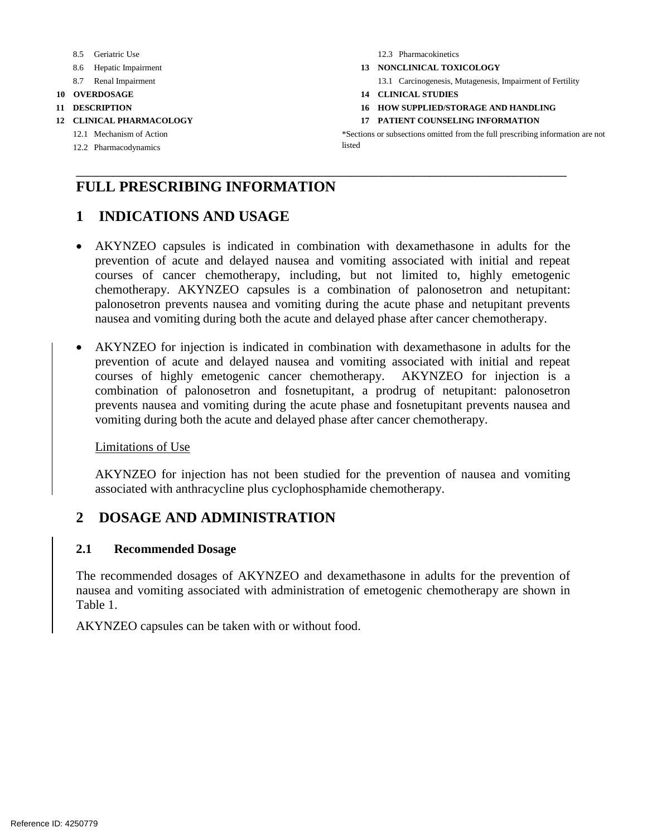- 
- 
- 
- 
- 
- -
	- [12.2](#page-13-2) [Pharmacodynamics](#page-13-2) listed

[8.5](#page-10-3) [Geriatric Use](#page-10-3) 12.3 Pharmacokinetics

- [8.6](#page-10-0) [Hepatic Impairment](#page-10-0) **13 NONCLINICAL TOXICOLOGY**
- [8.7](#page-10-1) [Renal Impairment](#page-10-1) **13.1 Carcinogenesis, Mutagenesis, Impairment of Fertility**
- **[10](#page-11-0) [OVERDOSAGE](#page-11-0) [14 CLINICAL STUDIES](#page-24-0)**
- **[11](#page-11-1)** [DESCRIPTION](#page-11-1) **16 16 HOW SUPPLIED/STORAGE AND HANDLING**
- **[12](#page-13-0) [CLINICAL PHARMACOLOGY](#page-13-0) [17 PATIENT COUNSELING INFORMATION](#page-28-0)**

[12.1](#page-13-1) [Mechanism of Action](#page-13-1) **\*Sections** \*Sections or subsections omitted from the full prescribing information are not

# **FULL PRESCRIBING INFORMATION**

# <span id="page-1-0"></span>**1 INDICATIONS AND USAGE**

 AKYNZEO capsules is indicated in combination with dexamethasone in adults for the palonosetron prevents nausea and vomiting during the acute phase and netupitant prevents prevention of acute and delayed nausea and vomiting associated with initial and repeat courses of cancer chemotherapy, including, but not limited to, highly emetogenic chemotherapy. AKYNZEO capsules is a combination of palonosetron and netupitant: nausea and vomiting during both the acute and delayed phase after cancer chemotherapy.

**\_\_\_\_\_\_\_\_\_\_\_\_\_\_\_\_\_\_\_\_\_\_\_\_\_\_\_\_\_\_\_\_\_\_\_\_\_\_\_\_\_\_\_\_\_\_\_\_\_\_\_\_\_\_\_\_\_\_\_\_\_\_\_\_\_\_\_\_\_\_\_\_\_\_\_\_\_\_\_\_\_\_\_\_\_\_\_\_\_\_\_\_\_** 

 AKYNZEO for injection is indicated in combination with dexamethasone in adults for the combination of palonosetron and fosnetupitant, a prodrug of netupitant: palonosetron prevents nausea and vomiting during the acute phase and fosnetupitant prevents nausea and prevention of acute and delayed nausea and vomiting associated with initial and repeat courses of highly emetogenic cancer chemotherapy. AKYNZEO for injection is a vomiting during both the acute and delayed phase after cancer chemotherapy.

#### Limitations of Use

 AKYNZEO for injection has not been studied for the prevention of nausea and vomiting associated with anthracycline plus cyclophosphamide chemotherapy.

# <span id="page-1-2"></span>**2 DOSAGE AND ADMINISTRATION**

## <span id="page-1-1"></span>**2.1 Recommended Dosage**

 nausea and vomiting associated with administration of emetogenic chemotherapy are shown in The recommended dosages of AKYNZEO and dexamethasone in adults for the prevention of Table 1.

AKYNZEO capsules can be taken with or without food.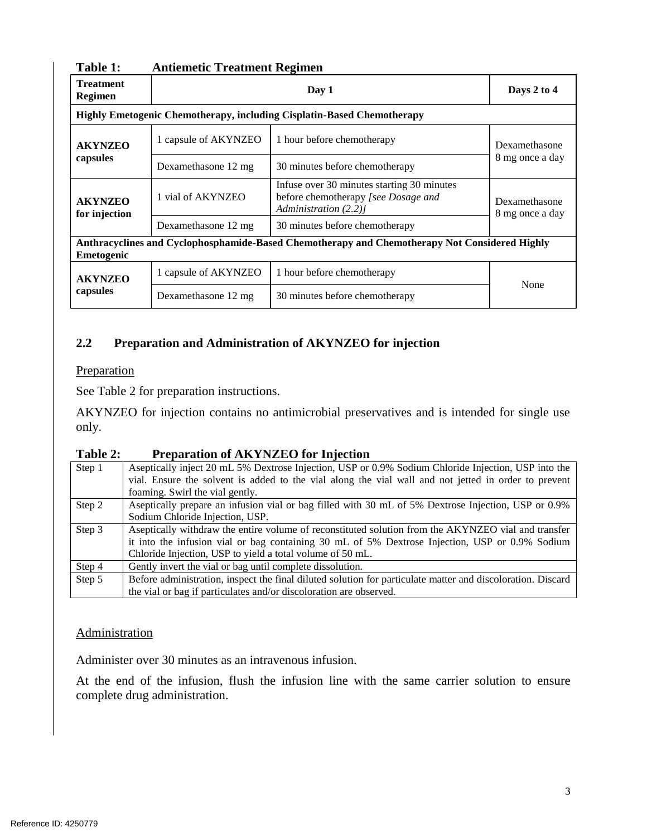| <b>Treatment</b><br><b>Regimen</b>                                                                          |                      | Days 2 to 4                                                                                                |                                  |  |
|-------------------------------------------------------------------------------------------------------------|----------------------|------------------------------------------------------------------------------------------------------------|----------------------------------|--|
|                                                                                                             |                      | <b>Highly Emetogenic Chemotherapy, including Cisplatin-Based Chemotherapy</b>                              |                                  |  |
| <b>AKYNZEO</b>                                                                                              | 1 capsule of AKYNZEO | 1 hour before chemotherapy                                                                                 | Dexamethasone<br>8 mg once a day |  |
| capsules                                                                                                    | Dexamethasone 12 mg  | 30 minutes before chemotherapy                                                                             |                                  |  |
| <b>AKYNZEO</b><br>for injection                                                                             | 1 vial of AKYNZEO    | Infuse over 30 minutes starting 30 minutes<br>before chemotherapy [see Dosage and<br>Administration (2.2)] |                                  |  |
|                                                                                                             | Dexamethasone 12 mg  | 30 minutes before chemotherapy                                                                             | 8 mg once a day                  |  |
| Anthracyclines and Cyclophosphamide-Based Chemotherapy and Chemotherapy Not Considered Highly<br>Emetogenic |                      |                                                                                                            |                                  |  |
| <b>AKYNZEO</b><br>capsules                                                                                  | 1 capsule of AKYNZEO | 1 hour before chemotherapy                                                                                 |                                  |  |
|                                                                                                             | Dexamethasone 12 mg  | 30 minutes before chemotherapy                                                                             | None                             |  |

#### **Table 1: Antiemetic Treatment Regimen**

## <span id="page-2-0"></span>**2.2 Preparation and Administration of AKYNZEO for injection**

#### Preparation

See [Table 2](#page-2-1) for preparation instructions.

 AKYNZEO for injection contains no antimicrobial preservatives and is intended for single use only.

#### <span id="page-2-1"></span>**Table 2: Preparation of AKYNZEO for Injection**

| Step 1 | Aseptically inject 20 mL 5% Dextrose Injection, USP or 0.9% Sodium Chloride Injection, USP into the         |
|--------|-------------------------------------------------------------------------------------------------------------|
|        | vial. Ensure the solvent is added to the vial along the vial wall and not jetted in order to prevent        |
|        | foaming. Swirl the vial gently.                                                                             |
| Step 2 | Aseptically prepare an infusion vial or bag filled with 30 mL of 5% Dextrose Injection, USP or 0.9%         |
|        | Sodium Chloride Injection, USP.                                                                             |
| Step 3 | Aseptically withdraw the entire volume of reconstituted solution from the AKYNZEO vial and transfer         |
|        | it into the infusion vial or bag containing 30 mL of 5% Dextrose Injection, USP or 0.9% Sodium              |
|        | Chloride Injection, USP to yield a total volume of 50 mL.                                                   |
| Step 4 | Gently invert the vial or bag until complete dissolution.                                                   |
| Step 5 | Before administration, inspect the final diluted solution for particulate matter and discoloration. Discard |
|        | the vial or bag if particulates and/or discoloration are observed.                                          |

#### Administration

Administer over 30 minutes as an intravenous infusion.

At the end of the infusion, flush the infusion line with the same carrier solution to ensure complete drug administration.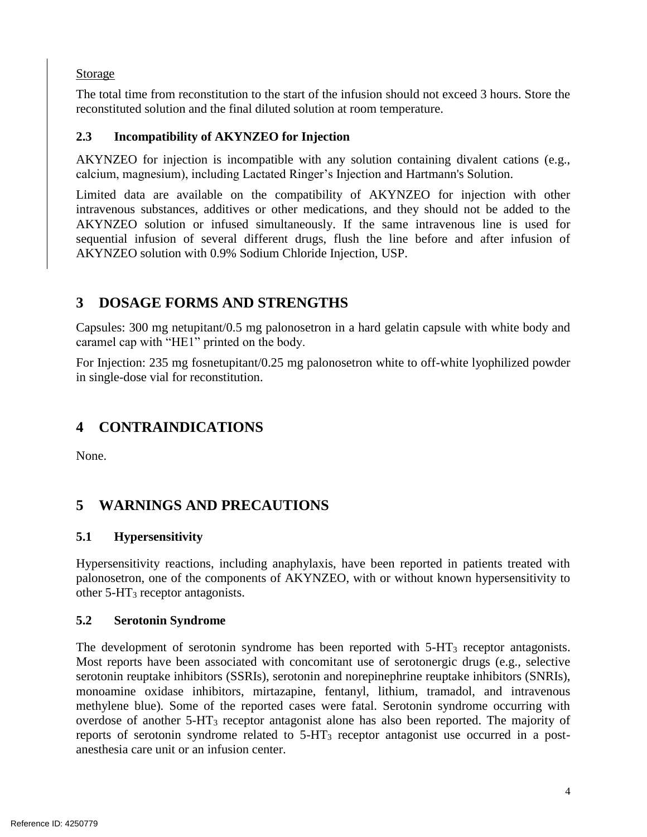## **Storage**

The total time from reconstitution to the start of the infusion should not exceed 3 hours. Store the reconstituted solution and the final diluted solution at room temperature.

# <span id="page-3-0"></span>**2.3 Incompatibility of AKYNZEO for Injection**

 AKYNZEO for injection is incompatible with any solution containing divalent cations (e.g., calcium, magnesium), including Lactated Ringer's Injection and Hartmann's Solution.

 Limited data are available on the compatibility of AKYNZEO for injection with other intravenous substances, additives or other medications, and they should not be added to the AKYNZEO solution or infused simultaneously. If the same intravenous line is used for sequential infusion of several different drugs, flush the line before and after infusion of AKYNZEO solution with 0.9% Sodium Chloride Injection, USP.

# <span id="page-3-1"></span>**3 DOSAGE FORMS AND STRENGTHS**

 Capsules: 300 mg netupitant/0.5 mg palonosetron in a hard gelatin capsule with white body and caramel cap with "HE1" printed on the body.

For Injection: 235 mg fosnetupitant/0.25 mg palonosetron white to off-white lyophilized powder in single-dose vial for reconstitution.

# <span id="page-3-2"></span>**4 CONTRAINDICATIONS**

None.

# <span id="page-3-5"></span>**5 WARNINGS AND PRECAUTIONS**

# <span id="page-3-3"></span>**5.1 Hypersensitivity**

 Hypersensitivity reactions, including anaphylaxis, have been reported in patients treated with palonosetron, one of the components of AKYNZEO, with or without known hypersensitivity to other  $5 - HT_3$  receptor antagonists.

## <span id="page-3-4"></span>**5.2 Serotonin Syndrome**

 methylene blue). Some of the reported cases were fatal. Serotonin syndrome occurring with overdose of another 5-HT3 receptor antagonist alone has also been reported. The majority of reports of serotonin syndrome related to 5-HT3 receptor antagonist use occurred in a post-The development of serotonin syndrome has been reported with  $5-HT<sub>3</sub>$  receptor antagonists. Most reports have been associated with concomitant use of serotonergic drugs (e.g., selective serotonin reuptake inhibitors (SSRIs), serotonin and norepinephrine reuptake inhibitors (SNRIs), monoamine oxidase inhibitors, mirtazapine, fentanyl, lithium, tramadol, and intravenous anesthesia care unit or an infusion center.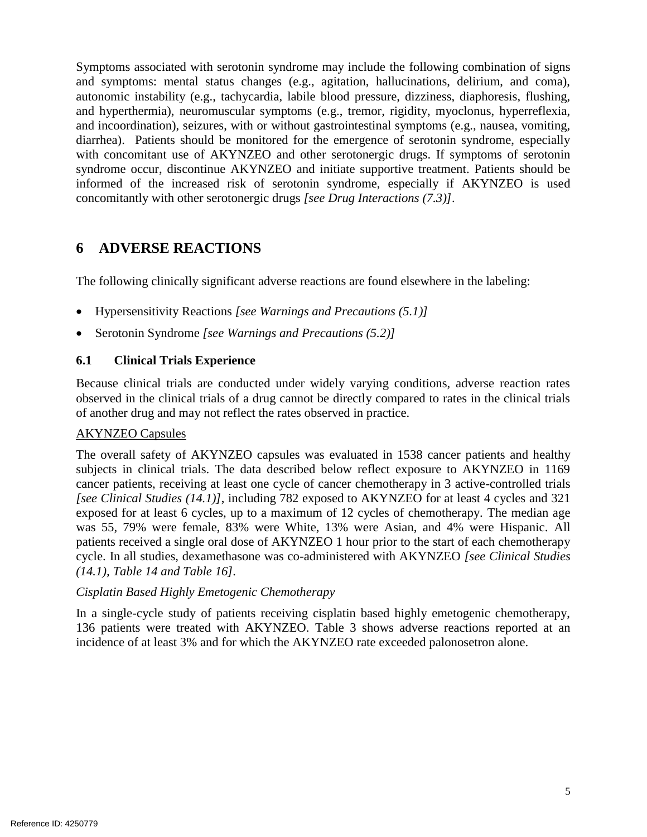Symptoms associated with serotonin syndrome may include the following combination of signs with concomitant use of AKYNZEO and other serotonergic drugs. If symptoms of serotonin syndrome occur, discontinue AKYNZEO and initiate supportive treatment. Patients should be informed of the increased risk of serotonin syndrome, especially if AKYNZEO is used and symptoms: mental status changes (e.g., agitation, hallucinations, delirium, and coma), autonomic instability (e.g., tachycardia, labile blood pressure, dizziness, diaphoresis, flushing, and hyperthermia), neuromuscular symptoms (e.g., tremor, rigidity, myoclonus, hyperreflexia, and incoordination), seizures, with or without gastrointestinal symptoms (e.g., nausea, vomiting, diarrhea). Patients should be monitored for the emergence of serotonin syndrome, especially concomitantly with other serotonergic drugs *[see Drug Interactions [\(7.](#page-6-1)3)]*.

# <span id="page-4-1"></span>**6 ADVERSE REACTIONS**

The following clinically significant adverse reactions are found elsewhere in the labeling:

- Hypersensitivity Reactions *[see Warnings and Precautions [\(5.1\)](#page-3-3)]*
- Serotonin Syndrome *[see Warnings and Precautions [\(5.2\)](#page-3-4)]*

## <span id="page-4-0"></span>**6.1 Clinical Trials Experience**

 Because clinical trials are conducted under widely varying conditions, adverse reaction rates observed in the clinical trials of a drug cannot be directly compared to rates in the clinical trials of another drug and may not reflect the rates observed in practice.

#### AKYNZEO Capsules

 The overall safety of AKYNZEO capsules was evaluated in 1538 cancer patients and healthy subjects in clinical trials. The data described below reflect exposure to AKYNZEO in 1169 cancer patients, receiving at least one cycle of cancer chemotherapy in 3 active-controlled trials *[see Clinical Studies [\(14.](#page-24-0)1)]*, including 782 exposed to AKYNZEO for at least 4 cycles and 321 exposed for at least 6 cycles, up to a maximum of 12 cycles of chemotherapy. The median age was 55, 79% were female, 83% were White, 13% were Asian, and 4% were Hispanic. All patients received a single oral dose of AKYNZEO 1 hour prior to the start of each chemotherapy cycle. In all studies, dexamethasone was co-administered with AKYNZEO *[see Clinical Studies [\(14.](#page-24-0)1), [Table 14](#page-24-1) and [Table 16\]](#page-25-0).* 

#### *Cisplatin Based Highly Emetogenic Chemotherapy*

 In a single-cycle study of patients receiving cisplatin based highly emetogenic chemotherapy, 136 patients were treated with AKYNZEO. [Table 3](#page-5-0) shows adverse reactions reported at an incidence of at least 3% and for which the AKYNZEO rate exceeded palonosetron alone.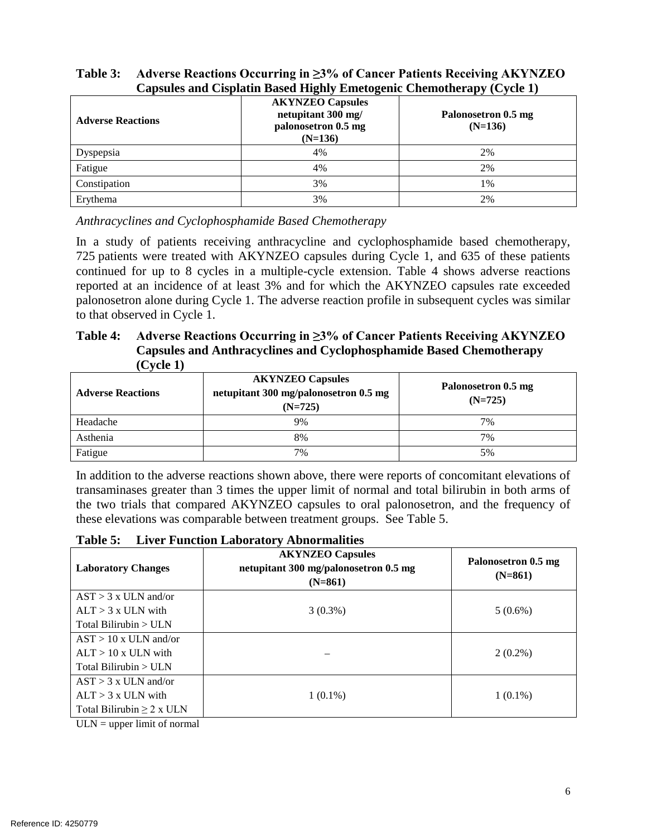| <b>Adverse Reactions</b> | <b>AKYNZEO Capsules</b><br>netupitant 300 mg/<br>palonosetron 0.5 mg<br>$(N=136)$ | Palonosetron 0.5 mg<br>$(N=136)$ |
|--------------------------|-----------------------------------------------------------------------------------|----------------------------------|
| Dyspepsia                | 4%                                                                                | 2%                               |
| Fatigue                  | 4%                                                                                | 2%                               |
| Constipation             | 3%                                                                                | 1%                               |
| Erythema                 | 3%                                                                                | 2%                               |

## <span id="page-5-0"></span>**Table 3: Adverse Reactions Occurring in ≥3% of Cancer Patients Receiving AKYNZEO Capsules and Cisplatin Based Highly Emetogenic Chemotherapy (Cycle 1)**

*Anthracyclines and Cyclophosphamide Based Chemotherapy* 

 In a study of patients receiving anthracycline and cyclophosphamide based chemotherapy, continued for up to 8 cycles in a multiple-cycle extension. [Table 4](#page-5-1) shows adverse reactions reported at an incidence of at least 3% and for which the AKYNZEO capsules rate exceeded palonosetron alone during Cycle 1. The adverse reaction profile in subsequent cycles was similar 725 patients were treated with AKYNZEO capsules during Cycle 1, and 635 of these patients to that observed in Cycle 1.

#### <span id="page-5-1"></span>**Table 4: Adverse Reactions Occurring in ≥3% of Cancer Patients Receiving AKYNZEO Capsules and Anthracyclines and Cyclophosphamide Based Chemotherapy (Cycle 1)**

| $\sim$ , $\sim$ $\sim$ $\sim$ $\prime$<br><b>AKYNZEO Capsules</b><br>netupitant 300 mg/palonosetron 0.5 mg<br><b>Adverse Reactions</b><br>$(N=725)$ |    | Palonosetron 0.5 mg<br>$(N=725)$ |
|-----------------------------------------------------------------------------------------------------------------------------------------------------|----|----------------------------------|
| Headache                                                                                                                                            | 9% | 7%                               |
| Asthenia                                                                                                                                            | 8% | 7%                               |
| Fatigue                                                                                                                                             | 7% | 5%                               |

 In addition to the adverse reactions shown above, there were reports of concomitant elevations of transaminases greater than 3 times the upper limit of normal and total bilirubin in both arms of the two trials that compared AKYNZEO capsules to oral palonosetron, and the frequency of these elevations was comparable between treatment groups. See [Table 5.](#page-5-2)

| 1 avit 9.<br>Liver Function Laboratory Abilion manties |                                                                               |                                  |  |  |
|--------------------------------------------------------|-------------------------------------------------------------------------------|----------------------------------|--|--|
| <b>Laboratory Changes</b>                              | <b>AKYNZEO Capsules</b><br>netupitant 300 mg/palonosetron 0.5 mg<br>$(N=861)$ | Palonosetron 0.5 mg<br>$(N=861)$ |  |  |
| $AST > 3$ x ULN and/or                                 |                                                                               |                                  |  |  |
| $ALT > 3$ x ULN with                                   | $3(0.3\%)$                                                                    | $5(0.6\%)$                       |  |  |
| Total Bilirubin $>$ ULN                                |                                                                               |                                  |  |  |
| $AST > 10x$ ULN and/or                                 |                                                                               |                                  |  |  |
| $ALT > 10x$ ULN with                                   |                                                                               | $2(0.2\%)$                       |  |  |
| Total Bilirubin $>$ ULN                                |                                                                               |                                  |  |  |
| $AST > 3x$ ULN and/or                                  |                                                                               |                                  |  |  |
| $ALT > 3$ x ULN with                                   | $1(0.1\%)$                                                                    | $1(0.1\%)$                       |  |  |
| Total Bilirubin $\geq 2$ x ULN                         |                                                                               |                                  |  |  |
|                                                        |                                                                               |                                  |  |  |

# <span id="page-5-2"></span>**Table 5: Liver Function Laboratory Abnormalities**

 $ULN = upper limit of normal$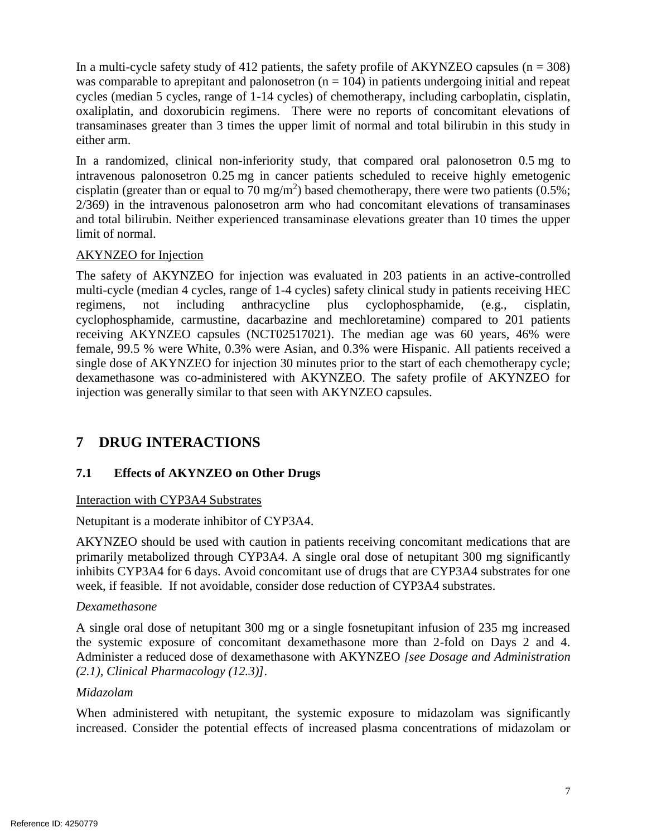In a multi-cycle safety study of 412 patients, the safety profile of  $AKYNZEO$  capsules ( $n = 308$ ) oxaliplatin, and doxorubicin regimens. There were no reports of concomitant elevations of transaminases greater than 3 times the upper limit of normal and total bilirubin in this study in was comparable to aprepitant and palonosetron  $(n = 104)$  in patients undergoing initial and repeat cycles (median 5 cycles, range of 1-14 cycles) of chemotherapy, including carboplatin, cisplatin, either arm.

 In a randomized, clinical non-inferiority study, that compared oral palonosetron 0.5 mg to intravenous palonosetron 0.25 mg in cancer patients scheduled to receive highly emetogenic cisplatin (greater than or equal to 70 mg/m<sup>2</sup>) based chemotherapy, there were two patients (0.5%; 2/369) in the intravenous palonosetron arm who had concomitant elevations of transaminases and total bilirubin. Neither experienced transaminase elevations greater than 10 times the upper limit of normal.

#### AKYNZEO for Injection

 The safety of AKYNZEO for injection was evaluated in 203 patients in an active-controlled multi-cycle (median 4 cycles, range of 1-4 cycles) safety clinical study in patients receiving HEC receiving AKYNZEO capsules (NCT02517021). The median age was 60 years, 46% were female, 99.5 % were White, 0.3% were Asian, and 0.3% were Hispanic. All patients received a dexamethasone was co-administered with AKYNZEO. The safety profile of AKYNZEO for regimens, not including anthracycline plus cyclophosphamide, (e.g., cisplatin, cyclophosphamide, carmustine, dacarbazine and mechloretamine) compared to 201 patients single dose of AKYNZEO for injection 30 minutes prior to the start of each chemotherapy cycle; injection was generally similar to that seen with AKYNZEO capsules.

# <span id="page-6-1"></span>**7 DRUG INTERACTIONS**

## <span id="page-6-0"></span>**7.1 Effects of AKYNZEO on Other Drugs**

#### Interaction with CYP3A4 Substrates

Netupitant is a moderate inhibitor of CYP3A4.

 AKYNZEO should be used with caution in patients receiving concomitant medications that are primarily metabolized through CYP3A4. A single oral dose of netupitant 300 mg significantly inhibits CYP3A4 for 6 days. Avoid concomitant use of drugs that are CYP3A4 substrates for one week, if feasible. If not avoidable, consider dose reduction of CYP3A4 substrates.

#### *Dexamethasone*

 A single oral dose of netupitant 300 mg or a single fosnetupitant infusion of 235 mg increased the systemic exposure of concomitant dexamethasone more than 2-fold on Days 2 and 4. Administer a reduced dose of dexamethasone with AKYNZEO *[see Dosage and Administration [\(2.](#page-1-2)1), Clinical Pharmacology [\(12.3\)](#page-14-0)]*.

#### *Midazolam*

 When administered with netupitant, the systemic exposure to midazolam was significantly increased. Consider the potential effects of increased plasma concentrations of midazolam or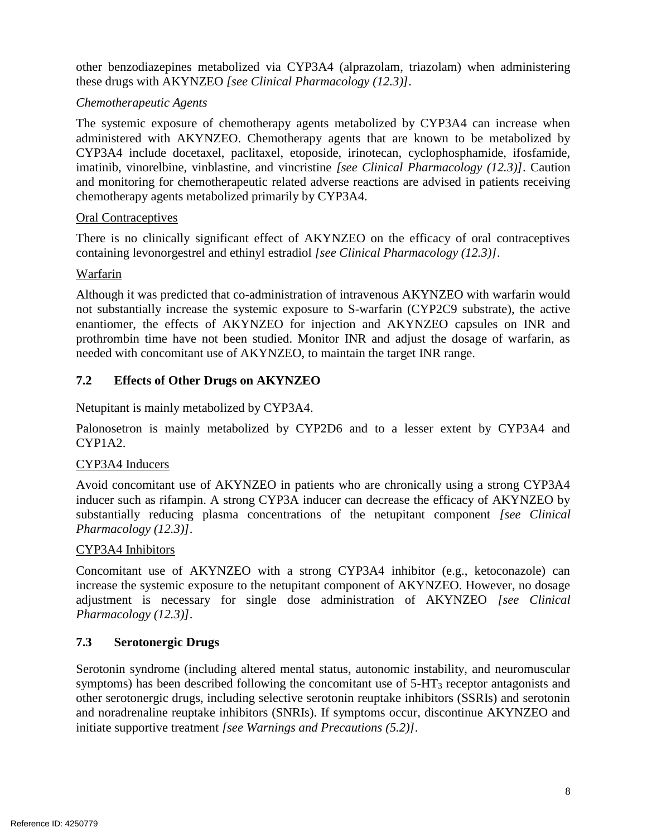other benzodiazepines metabolized via CYP3A4 (alprazolam, triazolam) when administering these drugs with AKYNZEO *[see Clinical Pharmacology [\(12.3\)](#page-14-0)]*.

## *Chemotherapeutic Agents*

 The systemic exposure of chemotherapy agents metabolized by CYP3A4 can increase when imatinib, vinorelbine, vinblastine, and vincristine *[see Clinical Pharmacology [\(12.3\)](#page-14-0)]*. Caution and monitoring for chemotherapeutic related adverse reactions are advised in patients receiving administered with AKYNZEO. Chemotherapy agents that are known to be metabolized by CYP3A4 include docetaxel, paclitaxel, etoposide, irinotecan, cyclophosphamide, ifosfamide, chemotherapy agents metabolized primarily by CYP3A4.

#### Oral Contraceptives

 There is no clinically significant effect of AKYNZEO on the efficacy of oral contraceptives containing levonorgestrel and ethinyl estradiol *[see Clinical Pharmacology [\(12.3\)](#page-14-0)]*.

#### Warfarin

 not substantially increase the systemic exposure to S-warfarin (CYP2C9 substrate), the active prothrombin time have not been studied. Monitor INR and adjust the dosage of warfarin, as Although it was predicted that co-administration of intravenous AKYNZEO with warfarin would enantiomer, the effects of AKYNZEO for injection and AKYNZEO capsules on INR and needed with concomitant use of AKYNZEO, to maintain the target INR range.

## <span id="page-7-1"></span>**7.2 Effects of Other Drugs on AKYNZEO**

Netupitant is mainly metabolized by CYP3A4.

Palonosetron is mainly metabolized by CYP2D6 and to a lesser extent by CYP3A4 and CYP1A2.

## CYP3A4 Inducers

 Avoid concomitant use of AKYNZEO in patients who are chronically using a strong CYP3A4 inducer such as rifampin. A strong CYP3A inducer can decrease the efficacy of AKYNZEO by substantially reducing plasma concentrations of the netupitant component *[see Clinical Pharmacology [\(12.3\)](#page-14-0)]*.

#### CYP3A4 Inhibitors

 Concomitant use of AKYNZEO with a strong CYP3A4 inhibitor (e.g., ketoconazole) can adjustment is necessary for single dose administration of AKYNZEO *[see Clinical*  increase the systemic exposure to the netupitant component of AKYNZEO. However, no dosage *Pharmacology [\(12.3\)](#page-14-0)]*.

## <span id="page-7-0"></span>**7.3 Serotonergic Drugs**

 Serotonin syndrome (including altered mental status, autonomic instability, and neuromuscular other serotonergic drugs, including selective serotonin reuptake inhibitors (SSRIs) and serotonin and noradrenaline reuptake inhibitors (SNRIs). If symptoms occur, discontinue AKYNZEO and symptoms) has been described following the concomitant use of  $5-HT_3$  receptor antagonists and initiate supportive treatment *[see Warnings and Precautions [\(5.2\)](#page-3-4)]*.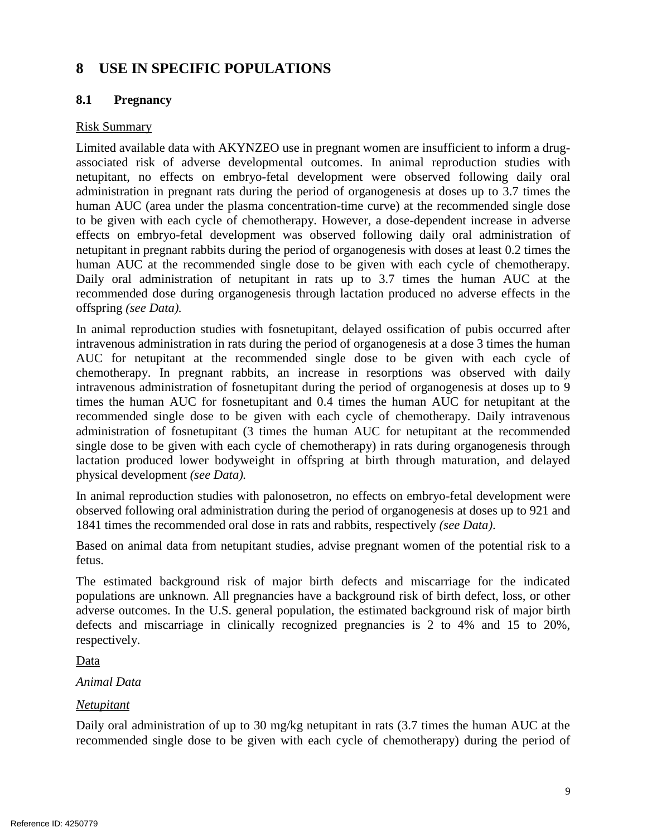# <span id="page-8-0"></span>**8 USE IN SPECIFIC POPULATIONS**

## <span id="page-8-1"></span>**8.1 Pregnancy**

#### Risk Summary

 netupitant, no effects on embryo-fetal development were observed following daily oral administration in pregnant rats during the period of organogenesis at doses up to 3.7 times the human AUC (area under the plasma concentration-time curve) at the recommended single dose to be given with each cycle of chemotherapy. However, a dose-dependent increase in adverse effects on embryo-fetal development was observed following daily oral administration of human AUC at the recommended single dose to be given with each cycle of chemotherapy. Daily oral administration of netupitant in rats up to 3.7 times the human AUC at the recommended dose during organogenesis through lactation produced no adverse effects in the Limited available data with AKYNZEO use in pregnant women are insufficient to inform a drugassociated risk of adverse developmental outcomes. In animal reproduction studies with netupitant in pregnant rabbits during the period of organogenesis with doses at least 0.2 times the offspring *(see Data).* 

 In animal reproduction studies with fosnetupitant, delayed ossification of pubis occurred after AUC for netupitant at the recommended single dose to be given with each cycle of chemotherapy. In pregnant rabbits, an increase in resorptions was observed with daily intravenous administration of fosnetupitant during the period of organogenesis at doses up to 9 times the human AUC for fosnetupitant and 0.4 times the human AUC for netupitant at the recommended single dose to be given with each cycle of chemotherapy. Daily intravenous administration of fosnetupitant (3 times the human AUC for netupitant at the recommended single dose to be given with each cycle of chemotherapy) in rats during organogenesis through intravenous administration in rats during the period of organogenesis at a dose 3 times the human lactation produced lower bodyweight in offspring at birth through maturation, and delayed physical development *(see Data).* 

In animal reproduction studies with palonosetron, no effects on embryo-fetal development were observed following oral administration during the period of organogenesis at doses up to 921 and 1841 times the recommended oral dose in rats and rabbits, respectively *(see Data)*.

Based on animal data from netupitant studies, advise pregnant women of the potential risk to a fetus.

 populations are unknown. All pregnancies have a background risk of birth defect, loss, or other adverse outcomes. In the U.S. general population, the estimated background risk of major birth The estimated background risk of major birth defects and miscarriage for the indicated defects and miscarriage in clinically recognized pregnancies is 2 to 4% and 15 to 20%, respectively.

Data

*Animal Data* 

#### *Netupitant*

 recommended single dose to be given with each cycle of chemotherapy) during the period of Daily oral administration of up to 30 mg/kg netupitant in rats (3.7 times the human AUC at the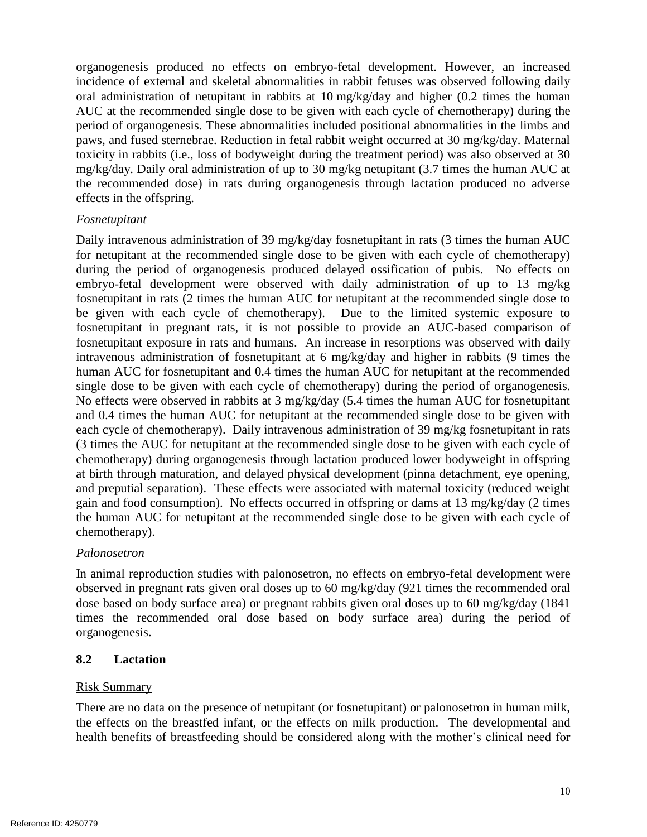organogenesis produced no effects on embryo-fetal development. However, an increased incidence of external and skeletal abnormalities in rabbit fetuses was observed following daily oral administration of netupitant in rabbits at 10 mg/kg/day and higher (0.2 times the human AUC at the recommended single dose to be given with each cycle of chemotherapy) during the toxicity in rabbits (i.e., loss of bodyweight during the treatment period) was also observed at 30 mg/kg/day. Daily oral administration of up to 30 mg/kg netupitant (3.7 times the human AUC at period of organogenesis. These abnormalities included positional abnormalities in the limbs and paws, and fused sternebrae. Reduction in fetal rabbit weight occurred at 30 mg/kg/day. Maternal the recommended dose) in rats during organogenesis through lactation produced no adverse effects in the offspring.

#### *Fosnetupitant*

 for netupitant at the recommended single dose to be given with each cycle of chemotherapy) embryo-fetal development were observed with daily administration of up to 13 mg/kg fosnetupitant in rats (2 times the human AUC for netupitant at the recommended single dose to be given with each cycle of chemotherapy). Due to the limited systemic exposure to fosnetupitant exposure in rats and humans. An increase in resorptions was observed with daily intravenous administration of fosnetupitant at 6 mg/kg/day and higher in rabbits (9 times the human AUC for fosnetupitant and 0.4 times the human AUC for netupitant at the recommended single dose to be given with each cycle of chemotherapy) during the period of organogenesis. No effects were observed in rabbits at 3 mg/kg/day (5.4 times the human AUC for fosnetupitant and 0.4 times the human AUC for netupitant at the recommended single dose to be given with each cycle of chemotherapy). Daily intravenous administration of 39 mg/kg fosnetupitant in rats (3 times the AUC for netupitant at the recommended single dose to be given with each cycle of chemotherapy) during organogenesis through lactation produced lower bodyweight in offspring at birth through maturation, and delayed physical development (pinna detachment, eye opening, and preputial separation). These effects were associated with maternal toxicity (reduced weight gain and food consumption). No effects occurred in offspring or dams at 13 mg/kg/day (2 times the human AUC for netupitant at the recommended single dose to be given with each cycle of Daily intravenous administration of 39 mg/kg/day fosnetupitant in rats (3 times the human AUC during the period of organogenesis produced delayed ossification of pubis. No effects on fosnetupitant in pregnant rats, it is not possible to provide an AUC-based comparison of chemotherapy).

#### *Palonosetron*

 dose based on body surface area) or pregnant rabbits given oral doses up to 60 mg/kg/day (1841 times the recommended oral dose based on body surface area) during the period of In animal reproduction studies with palonosetron, no effects on embryo-fetal development were observed in pregnant rats given oral doses up to 60 mg/kg/day (921 times the recommended oral organogenesis.

#### <span id="page-9-0"></span>**8.2 Lactation**

#### Risk Summary

 There are no data on the presence of netupitant (or fosnetupitant) or palonosetron in human milk, the effects on the breastfed infant, or the effects on milk production. The developmental and health benefits of breastfeeding should be considered along with the mother's clinical need for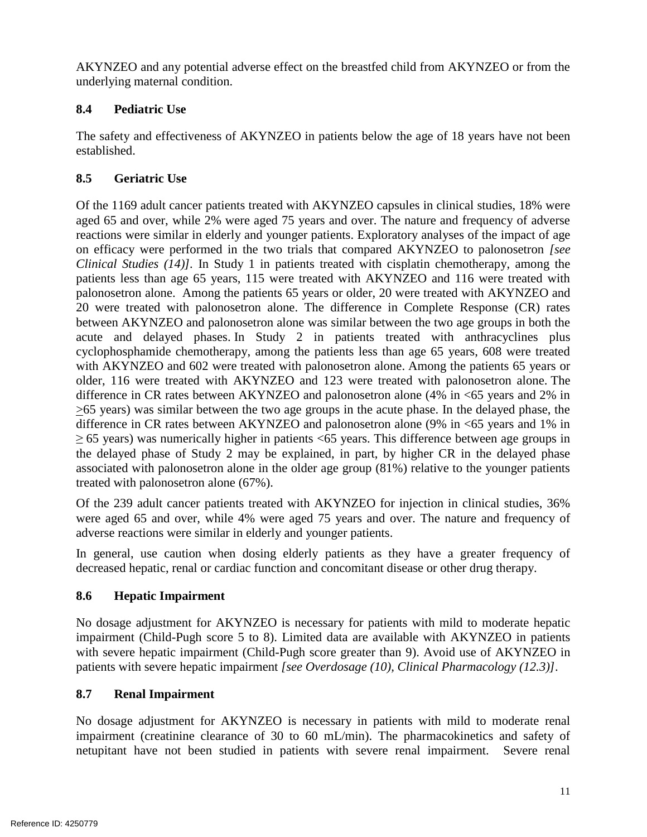AKYNZEO and any potential adverse effect on the breastfed child from AKYNZEO or from the underlying maternal condition.

# <span id="page-10-2"></span>**8.4 Pediatric Use**

 The safety and effectiveness of AKYNZEO in patients below the age of 18 years have not been established.

# <span id="page-10-3"></span>**8.5 Geriatric Use**

 Of the 1169 adult cancer patients treated with AKYNZEO capsules in clinical studies, 18% were aged 65 and over, while 2% were aged 75 years and over. The nature and frequency of adverse on efficacy were performed in the two trials that compared AKYNZEO to palonosetron *[see*  patients less than age 65 years, 115 were treated with AKYNZEO and 116 were treated with palonosetron alone. Among the patients 65 years or older, 20 were treated with AKYNZEO and 20 were treated with palonosetron alone. The difference in Complete Response (CR) rates acute and delayed phases. In Study 2 in patients treated with anthracyclines plus cyclophosphamide chemotherapy, among the patients less than age 65 years, 608 were treated with AKYNZEO and 602 were treated with palonosetron alone. Among the patients 65 years or difference in CR rates between AKYNZEO and palonosetron alone (4% in <65 years and 2% in  $\geq$ 65 years) was similar between the two age groups in the acute phase. In the delayed phase, the difference in CR rates between AKYNZEO and palonosetron alone (9% in <65 years and 1% in the delayed phase of Study 2 may be explained, in part, by higher CR in the delayed phase associated with palonosetron alone in the older age group (81%) relative to the younger patients reactions were similar in elderly and younger patients. Exploratory analyses of the impact of age *Clinical Studies [\(14\)](#page-24-0)].* In Study 1 in patients treated with cisplatin chemotherapy, among the between AKYNZEO and palonosetron alone was similar between the two age groups in both the older, 116 were treated with AKYNZEO and 123 were treated with palonosetron alone. The  $\geq$  65 years) was numerically higher in patients <65 years. This difference between age groups in treated with palonosetron alone (67%).

 Of the 239 adult cancer patients treated with AKYNZEO for injection in clinical studies, 36% were aged 65 and over, while 4% were aged 75 years and over. The nature and frequency of adverse reactions were similar in elderly and younger patients.

 In general, use caution when dosing elderly patients as they have a greater frequency of decreased hepatic, renal or cardiac function and concomitant disease or other drug therapy.

# <span id="page-10-0"></span>**8.6 Hepatic Impairment**

 No dosage adjustment for AKYNZEO is necessary for patients with mild to moderate hepatic impairment (Child-Pugh score 5 to 8). Limited data are available with AKYNZEO in patients with severe hepatic impairment (Child-Pugh score greater than 9). Avoid use of AKYNZEO in patients with severe hepatic impairment *[see Overdosage [\(10\)](#page-11-0), Clinical Pharmacology [\(12.3\)](#page-14-0)]*.

# <span id="page-10-1"></span>**8.7 Renal Impairment**

 netupitant have not been studied in patients with severe renal impairment. Severe renal No dosage adjustment for AKYNZEO is necessary in patients with mild to moderate renal impairment (creatinine clearance of 30 to 60 mL/min). The pharmacokinetics and safety of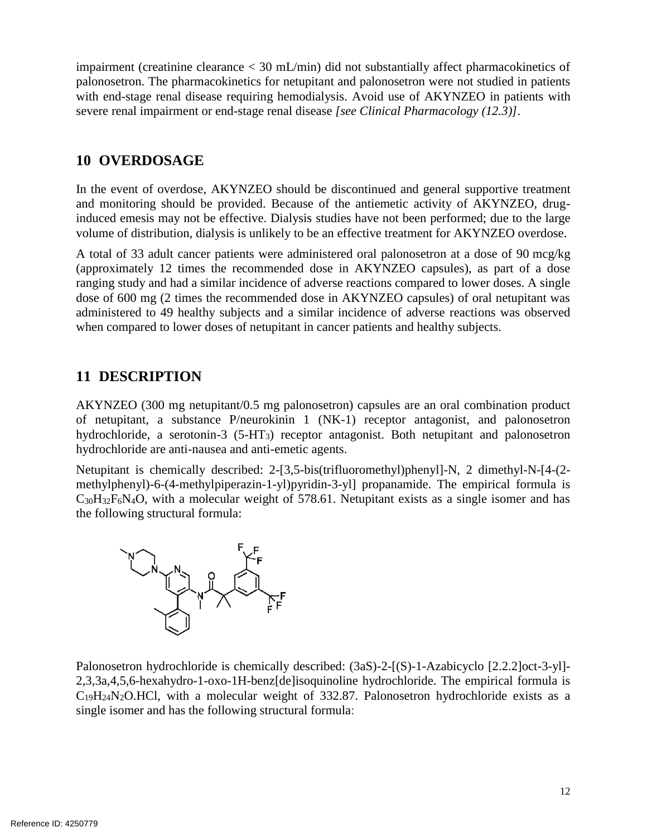impairment (creatinine clearance < 30 mL/min) did not substantially affect pharmacokinetics of palonosetron. The pharmacokinetics for netupitant and palonosetron were not studied in patients with end-stage renal disease requiring hemodialysis. Avoid use of AKYNZEO in patients with severe renal impairment or end-stage renal disease *[see Clinical Pharmacology [\(12.3\)](#page-14-0)]*.

# <span id="page-11-0"></span>**10 OVERDOSAGE**

 In the event of overdose, AKYNZEO should be discontinued and general supportive treatment and monitoring should be provided. Because of the antiemetic activity of AKYNZEO, drug- induced emesis may not be effective. Dialysis studies have not been performed; due to the large volume of distribution, dialysis is unlikely to be an effective treatment for AKYNZEO overdose.

 A total of 33 adult cancer patients were administered oral palonosetron at a dose of 90 mcg/kg (approximately 12 times the recommended dose in AKYNZEO capsules), as part of a dose dose of 600 mg (2 times the recommended dose in AKYNZEO capsules) of oral netupitant was administered to 49 healthy subjects and a similar incidence of adverse reactions was observed ranging study and had a similar incidence of adverse reactions compared to lower doses. A single when compared to lower doses of netupitant in cancer patients and healthy subjects.

# <span id="page-11-1"></span>**11 DESCRIPTION**

 AKYNZEO (300 mg netupitant/0.5 mg palonosetron) capsules are an oral combination product of netupitant, a substance P/neurokinin 1 (NK-1) receptor antagonist, and palonosetron hydrochloride, a serotonin-3 (5-HT3) receptor antagonist. Both netupitant and palonosetron hydrochloride are anti-nausea and anti-emetic agents.

 methylphenyl)-6-(4-methylpiperazin-1-yl)pyridin-3-yl] propanamide. The empirical formula is  $C_{30}H_{32}F_6N_4O$ , with a molecular weight of 578.61. Netupitant exists as a single isomer and has Netupitant is chemically described: 2-[3,5-bis(trifluoromethyl)phenyl]-N, 2 dimethyl-N-[4-(2 the following structural formula:



 $C_{19}H_{24}N_2O.HCl$ , with a molecular weight of 332.87. Palonosetron hydrochloride exists as a Palonosetron hydrochloride is chemically described: (3aS)-2-[(S)-1-Azabicyclo [2.2.2]oct-3-yl]-2,3,3a,4,5,6-hexahydro-1-oxo-1H-benz[de]isoquinoline hydrochloride. The empirical formula is single isomer and has the following structural formula: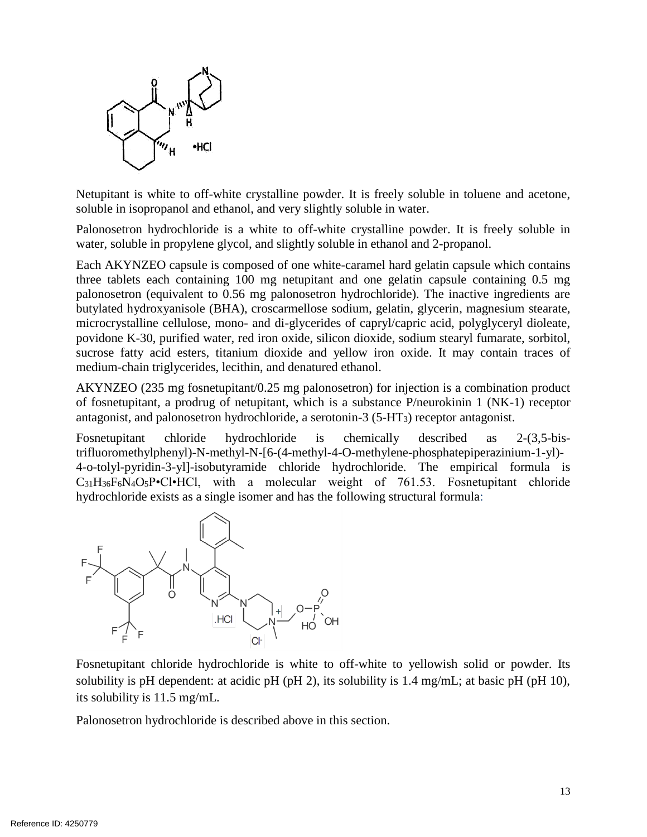

Netupitant is white to off-white crystalline powder. It is freely soluble in toluene and acetone, soluble in isopropanol and ethanol, and very slightly soluble in water.

 Palonosetron hydrochloride is a white to off-white crystalline powder. It is freely soluble in water, soluble in propylene glycol, and slightly soluble in ethanol and 2-propanol.

 three tablets each containing 100 mg netupitant and one gelatin capsule containing 0.5 mg palonosetron (equivalent to 0.56 mg palonosetron hydrochloride). The inactive ingredients are butylated hydroxyanisole (BHA), croscarmellose sodium, gelatin, glycerin, magnesium stearate, microcrystalline cellulose, mono- and di-glycerides of capryl/capric acid, polyglyceryl dioleate, sucrose fatty acid esters, titanium dioxide and yellow iron oxide. It may contain traces of Each AKYNZEO capsule is composed of one white-caramel hard gelatin capsule which contains povidone K-30, purified water, red iron oxide, silicon dioxide, sodium stearyl fumarate, sorbitol, medium-chain triglycerides, lecithin, and denatured ethanol.

 AKYNZEO (235 mg fosnetupitant/0.25 mg palonosetron) for injection is a combination product of fosnetupitant, a prodrug of netupitant, which is a substance P/neurokinin 1 (NK-1) receptor antagonist, and palonosetron hydrochloride, a serotonin-3 (5-HT3) receptor antagonist.

 Fosnetupitant chloride hydrochloride is chemically described as 2-(3,5-bis- 4-o-tolyl-pyridin-3-yl]-isobutyramide chloride hydrochloride. The empirical formula is  $C_{31}H_{36}F_6N_4O_5P$ •Cl•HCl, with a molecular weight of 761.53. Fosnetupitant chloride trifluoromethylphenyl)-N-methyl-N-[6-(4-methyl-4-O-methylene-phosphatepiperazinium-1-yl) hydrochloride exists as a single isomer and has the following structural formula:



 Fosnetupitant chloride hydrochloride is white to off-white to yellowish solid or powder. Its solubility is pH dependent: at acidic pH (pH 2), its solubility is 1.4 mg/mL; at basic pH (pH 10), its solubility is 11.5 mg/mL.

Palonosetron hydrochloride is described above in this section.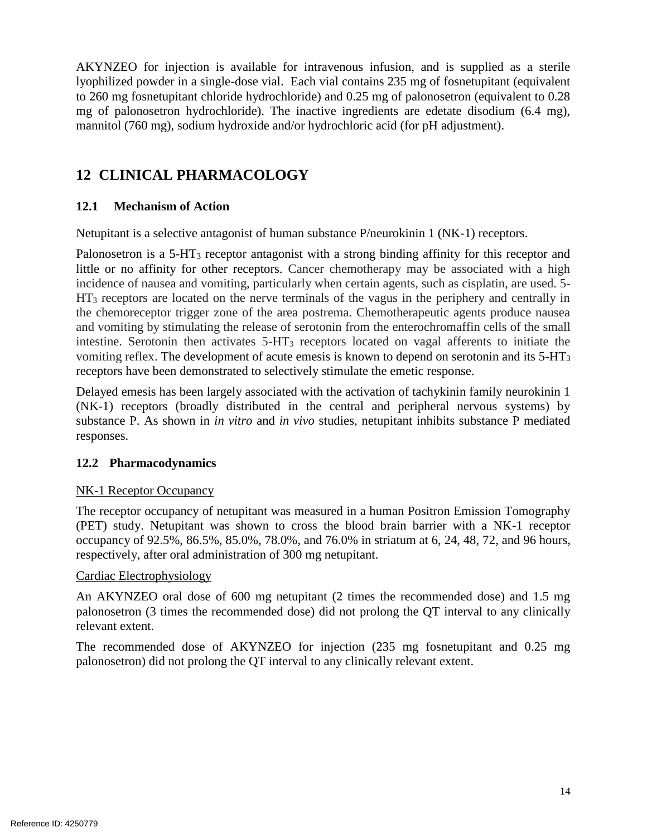AKYNZEO for injection is available for intravenous infusion, and is supplied as a sterile lyophilized powder in a single-dose vial. Each vial contains 235 mg of fosnetupitant (equivalent mg of palonosetron hydrochloride). The inactive ingredients are edetate disodium (6.4 mg), to 260 mg fosnetupitant chloride hydrochloride) and 0.25 mg of palonosetron (equivalent to 0.28 mannitol (760 mg), sodium hydroxide and/or hydrochloric acid (for pH adjustment).

# <span id="page-13-0"></span>**12 CLINICAL PHARMACOLOGY**

#### <span id="page-13-1"></span>**12.1 Mechanism of Action**

Netupitant is a selective antagonist of human substance P/neurokinin 1 (NK-1) receptors.

Palonosetron is a 5-HT<sub>3</sub> receptor antagonist with a strong binding affinity for this receptor and little or no affinity for other receptors. Cancer chemotherapy may be associated with a high HT<sub>3</sub> receptors are located on the nerve terminals of the vagus in the periphery and centrally in the chemoreceptor trigger zone of the area postrema. Chemotherapeutic agents produce nausea and vomiting by stimulating the release of serotonin from the enterochromaffin cells of the small incidence of nausea and vomiting, particularly when certain agents, such as cisplatin, are used. 5 intestine. Serotonin then activates 5-HT3 receptors located on vagal afferents to initiate the vomiting reflex. The development of acute emesis is known to depend on serotonin and its 5-HT3 receptors have been demonstrated to selectively stimulate the emetic response.

 Delayed emesis has been largely associated with the activation of tachykinin family neurokinin 1 substance P. As shown in *in vitro* and *in vivo* studies, netupitant inhibits substance P mediated (NK-1) receptors (broadly distributed in the central and peripheral nervous systems) by responses.

#### <span id="page-13-2"></span>**12.2 Pharmacodynamics**

#### NK-1 Receptor Occupancy

 The receptor occupancy of netupitant was measured in a human Positron Emission Tomography occupancy of 92.5%, 86.5%, 85.0%, 78.0%, and 76.0% in striatum at 6, 24, 48, 72, and 96 hours, (PET) study. Netupitant was shown to cross the blood brain barrier with a NK-1 receptor respectively, after oral administration of 300 mg netupitant.

#### Cardiac Electrophysiology

 An AKYNZEO oral dose of 600 mg netupitant (2 times the recommended dose) and 1.5 mg palonosetron (3 times the recommended dose) did not prolong the QT interval to any clinically relevant extent.

The recommended dose of AKYNZEO for injection (235 mg fosnetupitant and 0.25 mg palonosetron) did not prolong the QT interval to any clinically relevant extent.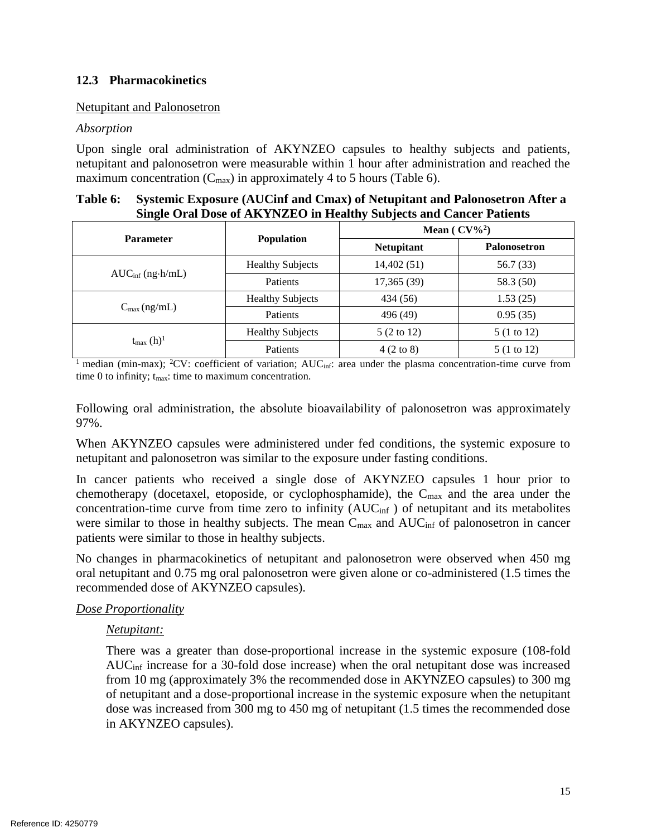#### <span id="page-14-0"></span>**12.3 Pharmacokinetics**

#### Netupitant and Palonosetron

#### *Absorption*

Upon single oral administration of AKYNZEO capsules to healthy subjects and patients, netupitant and palonosetron were measurable within 1 hour after administration and reached the maximum concentration  $(C_{\text{max}})$  in approximately 4 to 5 hours [\(Table 6\)](#page-14-1).

<span id="page-14-1"></span>

| Table 6: Systemic Exposure (AUCinf and Cmax) of Netupitant and Palonosetron After a |
|-------------------------------------------------------------------------------------|
| Single Oral Dose of AKYNZEO in Healthy Subjects and Cancer Patients                 |

| <b>Parameter</b>                     |                         | Mean ( $CV\%^2$ )    |                     |  |  |
|--------------------------------------|-------------------------|----------------------|---------------------|--|--|
|                                      | <b>Population</b>       | <b>Netupitant</b>    | <b>Palonosetron</b> |  |  |
|                                      | <b>Healthy Subjects</b> | 14,402(51)           | 56.7 (33)           |  |  |
| $AUC_{\text{inf}}$ (ng $\cdot$ h/mL) | Patients                | 17,365 (39)          | 58.3 (50)           |  |  |
| $C_{\text{max}}$ (ng/mL)             | <b>Healthy Subjects</b> | 434 (56)             | 1.53(25)            |  |  |
|                                      | <b>Patients</b>         | 496 (49)             | 0.95(35)            |  |  |
|                                      | <b>Healthy Subjects</b> | 5 (2 to 12)          | 5 (1 to 12)         |  |  |
| $t_{\text{max}}$ (h) <sup>1</sup>    | Patients                | $4(2 \text{ to } 8)$ | 5 (1 to 12)         |  |  |

<sup>1</sup> median (min-max); <sup>2</sup>CV: coefficient of variation;  $AUC_{inf}$ : area under the plasma concentration-time curve from time  $0$  to infinity;  $t_{\text{max}}$ : time to maximum concentration.

Following oral administration, the absolute bioavailability of palonosetron was approximately 97%.

 When AKYNZEO capsules were administered under fed conditions, the systemic exposure to netupitant and palonosetron was similar to the exposure under fasting conditions.

 In cancer patients who received a single dose of AKYNZEO capsules 1 hour prior to chemotherapy (docetaxel, etoposide, or cyclophosphamide), the  $C_{\text{max}}$  and the area under the concentration-time curve from time zero to infinity (AUCinf ) of netupitant and its metabolites were similar to those in healthy subjects. The mean  $C_{\text{max}}$  and  $AUC_{\text{inf}}$  of palonosetron in cancer patients were similar to those in healthy subjects.

 oral netupitant and 0.75 mg oral palonosetron were given alone or co-administered (1.5 times the No changes in pharmacokinetics of netupitant and palonosetron were observed when 450 mg recommended dose of AKYNZEO capsules).

#### *Dose Proportionality*

#### *Netupitant:*

 There was a greater than dose-proportional increase in the systemic exposure (108-fold AUCinf increase for a 30-fold dose increase) when the oral netupitant dose was increased from 10 mg (approximately 3% the recommended dose in AKYNZEO capsules) to 300 mg dose was increased from 300 mg to 450 mg of netupitant (1.5 times the recommended dose of netupitant and a dose-proportional increase in the systemic exposure when the netupitant in AKYNZEO capsules).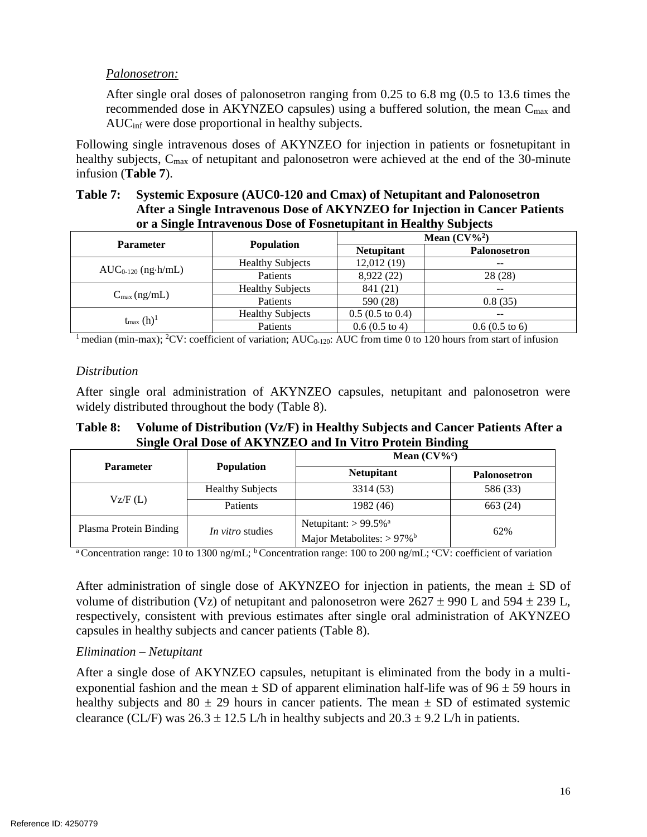#### *Palonosetron:*

recommended dose in AKYNZEO capsules) using a buffered solution, the mean  $C_{\text{max}}$  and After single oral doses of palonosetron ranging from 0.25 to 6.8 mg (0.5 to 13.6 times the AUCinf were dose proportional in healthy subjects.

Following single intravenous doses of AKYNZEO for injection in patients or fosnetupitant in healthy subjects, C<sub>max</sub> of netupitant and palonosetron were achieved at the end of the 30-minute infusion (**[Table 7](#page-15-0)**).

#### <span id="page-15-0"></span>**Table 7: Systemic Exposure (AUC0-120 and Cmax) of Netupitant and Palonosetron After a Single Intravenous Dose of AKYNZEO for Injection in Cancer Patients or a Single Intravenous Dose of Fosnetupitant in Healthy Subjects**

| <b>Parameter</b>                  |                         | Mean $(CV\%^2)$            |                          |  |
|-----------------------------------|-------------------------|----------------------------|--------------------------|--|
|                                   | <b>Population</b>       | <b>Netupitant</b>          | Palonosetron             |  |
|                                   | <b>Healthy Subjects</b> | 12,012 (19)                | $- -$                    |  |
| $AUC_{0-120}$ (ng $\cdot$ h/mL)   | Patients                | 8,922 (22)                 | 28 (28)                  |  |
| $C_{\text{max}}$ (ng/mL)          | <b>Healthy Subjects</b> | 841 (21)                   | $- -$                    |  |
|                                   | Patients                | 590 (28)                   | 0.8(35)                  |  |
| $t_{\text{max}}$ (h) <sup>1</sup> | <b>Healthy Subjects</b> | $0.5(0.5 \text{ to } 0.4)$ | --                       |  |
|                                   | Patients                | $0.6(0.5 \text{ to } 4)$   | $0.6(0.5 \text{ to } 6)$ |  |

 $\frac{1}{1}$  median (min-max); <sup>2</sup>CV: coefficient of variation; AUC<sub>0-120</sub>: AUC from time 0 to 120 hours from start of infusion

#### *Distribution*

After single oral administration of AKYNZEO capsules, netupitant and palonosetron were widely distributed throughout the body [\(Table 8\)](#page-15-1).

#### <span id="page-15-1"></span>**Table 8: Volume of Distribution (Vz/F) in Healthy Subjects and Cancer Patients After a Single Oral Dose of AKYNZEO and In Vitro Protein Binding**

|                                                   |                         | Mean $(CV\%^c)$                                                                 |                     |  |
|---------------------------------------------------|-------------------------|---------------------------------------------------------------------------------|---------------------|--|
| <b>Parameter</b>                                  | <b>Population</b>       | <b>Netupitant</b>                                                               | <b>Palonosetron</b> |  |
|                                                   | <b>Healthy Subjects</b> | 3314 (53)                                                                       | 586 (33)            |  |
| VZ/F(L)                                           | Patients                | 1982 (46)                                                                       | 663 (24)            |  |
| Plasma Protein Binding<br><i>In vitro</i> studies |                         | Netupitant: $> 99.5\%$ <sup>a</sup><br>Major Metabolites: $> 97\%$ <sup>b</sup> | 62%                 |  |

<sup>a</sup> Concentration range: 10 to 1300 ng/mL; <sup>b</sup> Concentration range: 100 to 200 ng/mL; °CV: coefficient of variation

volume of distribution (Vz) of netupitant and palonosetron were  $2627 \pm 990$  L and  $594 \pm 239$  L, After administration of single dose of AKYNZEO for injection in patients, the mean  $\pm$  SD of respectively, consistent with previous estimates after single oral administration of AKYNZEO capsules in healthy subjects and cancer patients [\(Table 8\)](#page-15-1).

#### *Elimination – Netupitant*

 After a single dose of AKYNZEO capsules, netupitant is eliminated from the body in a multiexponential fashion and the mean  $\pm$  SD of apparent elimination half-life was of 96  $\pm$  59 hours in healthy subjects and  $80 \pm 29$  hours in cancer patients. The mean  $\pm$  SD of estimated systemic clearance (CL/F) was  $26.3 \pm 12.5$  L/h in healthy subjects and  $20.3 \pm 9.2$  L/h in patients.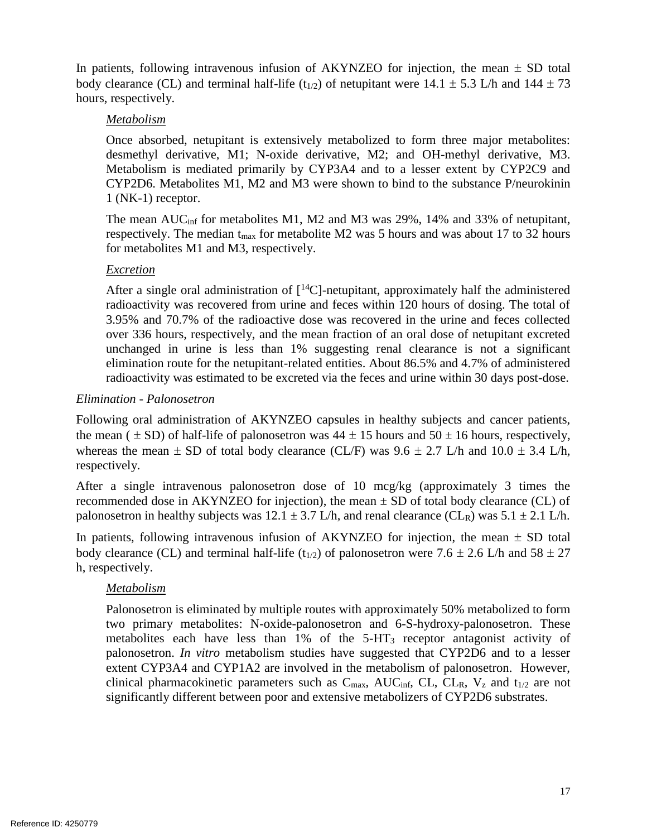In patients, following intravenous infusion of AKYNZEO for injection, the mean  $\pm$  SD total body clearance (CL) and terminal half-life (t<sub>1/2</sub>) of netupitant were 14.1  $\pm$  5.3 L/h and 144  $\pm$  73 hours, respectively.

#### *Metabolism*

 desmethyl derivative, M1; N-oxide derivative, M2; and OH-methyl derivative, M3. Metabolism is mediated primarily by CYP3A4 and to a lesser extent by CYP2C9 and Once absorbed, netupitant is extensively metabolized to form three major metabolites: CYP2D6. Metabolites M1, M2 and M3 were shown to bind to the substance P/neurokinin 1 (NK-1) receptor.

The mean AUC<sub>inf</sub> for metabolites M1, M2 and M3 was 29%, 14% and 33% of netupitant, respectively. The median  $t_{\text{max}}$  for metabolite M2 was 5 hours and was about 17 to 32 hours for metabolites M1 and M3, respectively.

#### *Excretion*

After a single oral administration of  $[^{14}C]$ -netupitant, approximately half the administered radioactivity was recovered from urine and feces within 120 hours of dosing. The total of 3.95% and 70.7% of the radioactive dose was recovered in the urine and feces collected unchanged in urine is less than 1% suggesting renal clearance is not a significant elimination route for the netupitant-related entities. About 86.5% and 4.7% of administered over 336 hours, respectively, and the mean fraction of an oral dose of netupitant excreted radioactivity was estimated to be excreted via the feces and urine within 30 days post-dose.

#### *Elimination - Palonosetron*

whereas the mean  $\pm$  SD of total body clearance (CL/F) was 9.6  $\pm$  2.7 L/h and 10.0  $\pm$  3.4 L/h, Following oral administration of AKYNZEO capsules in healthy subjects and cancer patients, the mean ( $\pm$  SD) of half-life of palonosetron was 44  $\pm$  15 hours and 50  $\pm$  16 hours, respectively, respectively.

 After a single intravenous palonosetron dose of 10 mcg/kg (approximately 3 times the recommended dose in AKYNZEO for injection), the mean  $\pm$  SD of total body clearance (CL) of palonosetron in healthy subjects was  $12.1 \pm 3.7$  L/h, and renal clearance (CL<sub>R</sub>) was  $5.1 \pm 2.1$  L/h.

In patients, following intravenous infusion of AKYNZEO for injection, the mean  $\pm$  SD total body clearance (CL) and terminal half-life (t<sub>1/2</sub>) of palonosetron were 7.6  $\pm$  2.6 L/h and 58  $\pm$  27 h, respectively.

## *Metabolism*

metabolites each have less than 1% of the 5-HT<sub>3</sub> receptor antagonist activity of palonosetron. *In vitro* metabolism studies have suggested that CYP2D6 and to a lesser extent CYP3A4 and CYP1A2 are involved in the metabolism of palonosetron. However, Palonosetron is eliminated by multiple routes with approximately 50% metabolized to form two primary metabolites: N-oxide-palonosetron and 6-S-hydroxy-palonosetron. These clinical pharmacokinetic parameters such as  $C_{\text{max}}$ , AUC<sub>inf</sub>, CL, CL<sub>R</sub>, V<sub>z</sub> and t<sub>1/2</sub> are not significantly different between poor and extensive metabolizers of CYP2D6 substrates.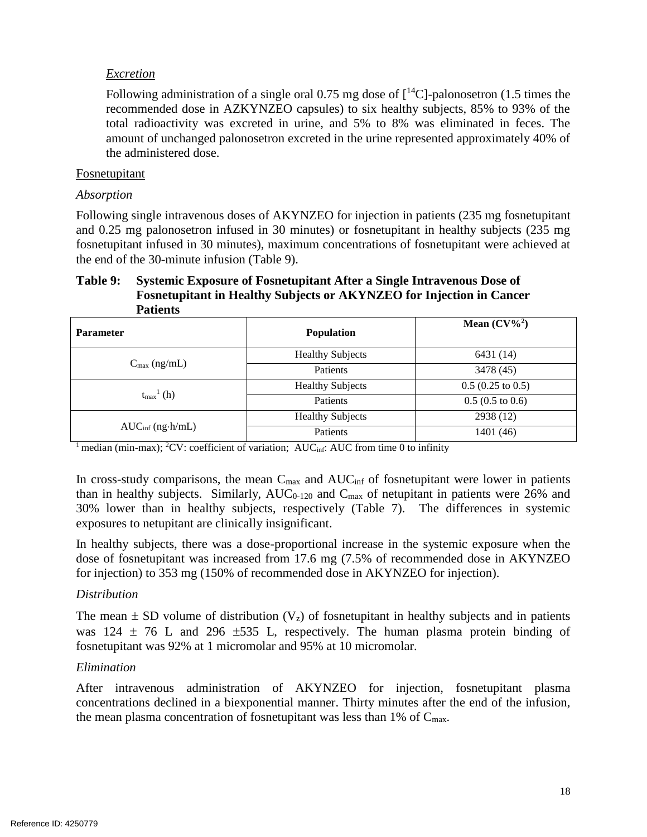#### *Excretion*

Following administration of a single oral 0.75 mg dose of  $[^{14}C]$ -palonosetron (1.5 times the recommended dose in AZKYNZEO capsules) to six healthy subjects, 85% to 93% of the total radioactivity was excreted in urine, and 5% to 8% was eliminated in feces. The amount of unchanged palonosetron excreted in the urine represented approximately 40% of the administered dose.

#### Fosnetupitant

#### *Absorption*

 Following single intravenous doses of AKYNZEO for injection in patients (235 mg fosnetupitant and 0.25 mg palonosetron infused in 30 minutes) or fosnetupitant in healthy subjects (235 mg fosnetupitant infused in 30 minutes), maximum concentrations of fosnetupitant were achieved at the end of the 30-minute infusion (Table 9).

#### **Table 9: Systemic Exposure of Fosnetupitant After a Single Intravenous Dose of Fosnetupitant in Healthy Subjects or AKYNZEO for Injection in Cancer Patients**

| <b>Parameter</b>                     | <b>Population</b>       | Mean $(CV\%^2)$             |  |
|--------------------------------------|-------------------------|-----------------------------|--|
|                                      | <b>Healthy Subjects</b> | 6431 (14)                   |  |
| $C_{\text{max}}$ (ng/mL)             | Patients                | 3478 (45)                   |  |
| $t_{\text{max}}^{\text{l}}$ (h)      | <b>Healthy Subjects</b> | $0.5(0.25 \text{ to } 0.5)$ |  |
|                                      | Patients                | $0.5(0.5 \text{ to } 0.6)$  |  |
|                                      | <b>Healthy Subjects</b> | 2938 (12)                   |  |
| $AUC_{\text{inf}}$ (ng $\cdot$ h/mL) | Patients                | 1401(46)                    |  |

<sup>1</sup> median (min-max); <sup>2</sup>CV: coefficient of variation; AUC<sub>inf</sub>: AUC from time 0 to infinity

than in healthy subjects. Similarly,  $AUC_{0-120}$  and  $C_{max}$  of netupitant in patients were 26% and 30% lower than in healthy subjects, respectively (Table 7). The differences in systemic In cross-study comparisons, the mean  $C_{\text{max}}$  and  $AUC_{\text{inf}}$  of fosnetupitant were lower in patients exposures to netupitant are clinically insignificant.

 In healthy subjects, there was a dose-proportional increase in the systemic exposure when the dose of fosnetupitant was increased from 17.6 mg (7.5% of recommended dose in AKYNZEO for injection) to 353 mg (150% of recommended dose in AKYNZEO for injection).

## *Distribution*

The mean  $\pm$  SD volume of distribution (V<sub>z</sub>) of fosnetupitant in healthy subjects and in patients was  $124 \pm 76$  L and  $296 \pm 535$  L, respectively. The human plasma protein binding of fosnetupitant was 92% at 1 micromolar and 95% at 10 micromolar.

#### *Elimination*

 After intravenous administration of AKYNZEO for injection, fosnetupitant plasma concentrations declined in a biexponential manner. Thirty minutes after the end of the infusion, the mean plasma concentration of fosnetupitant was less than  $1\%$  of  $C_{\text{max}}$ .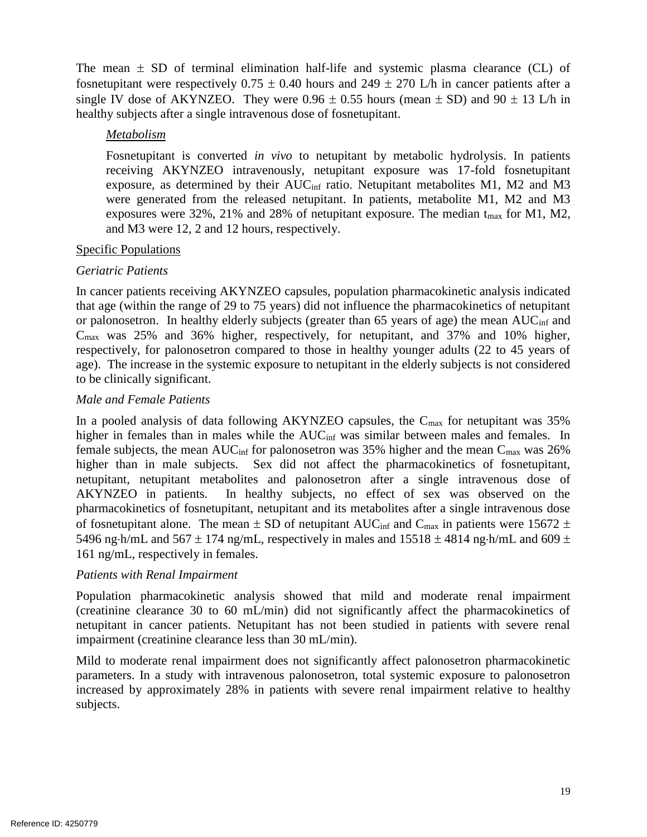The mean  $\pm$  SD of terminal elimination half-life and systemic plasma clearance (CL) of fosnetupitant were respectively  $0.75 \pm 0.40$  hours and  $249 \pm 270$  L/h in cancer patients after a single IV dose of AKYNZEO. They were  $0.96 \pm 0.55$  hours (mean  $\pm$  SD) and  $90 \pm 13$  L/h in healthy subjects after a single intravenous dose of fosnetupitant.

#### *Metabolism*

 Fosnetupitant is converted *in vivo* to netupitant by metabolic hydrolysis. In patients exposure, as determined by their AUC<sub>inf</sub> ratio. Netupitant metabolites M1, M2 and M3 exposures were 32%, 21% and 28% of netupitant exposure. The median  $t_{\text{max}}$  for M1, M2, receiving AKYNZEO intravenously, netupitant exposure was 17-fold fosnetupitant were generated from the released netupitant. In patients, metabolite M1, M2 and M3 and M3 were 12, 2 and 12 hours, respectively.

#### Specific Populations

#### *Geriatric Patients*

 In cancer patients receiving AKYNZEO capsules, population pharmacokinetic analysis indicated that age (within the range of 29 to 75 years) did not influence the pharmacokinetics of netupitant or palonosetron. In healthy elderly subjects (greater than 65 years of age) the mean AUC<sub>inf</sub> and Cmax was 25% and 36% higher, respectively, for netupitant, and 37% and 10% higher, respectively, for palonosetron compared to those in healthy younger adults (22 to 45 years of age). The increase in the systemic exposure to netupitant in the elderly subjects is not considered to be clinically significant.

#### *Male and Female Patients*

In a pooled analysis of data following AKYNZEO capsules, the  $C_{\text{max}}$  for netupitant was 35% higher in females than in males while the AUC<sub>inf</sub> was similar between males and females. In female subjects, the mean AUC<sub>inf</sub> for palonosetron was 35% higher and the mean C<sub>max</sub> was 26% higher than in male subjects. Sex did not affect the pharmacokinetics of fosnetupitant, netupitant, netupitant metabolites and palonosetron after a single intravenous dose of of fosnetupitant alone. The mean  $\pm$  SD of netupitant AUC<sub>inf</sub> and C<sub>max</sub> in patients were 15672  $\pm$ AKYNZEO in patients. In healthy subjects, no effect of sex was observed on the pharmacokinetics of fosnetupitant, netupitant and its metabolites after a single intravenous dose 5496 ng·h/mL and 567  $\pm$  174 ng/mL, respectively in males and 15518  $\pm$  4814 ng·h/mL and 609  $\pm$ 161 ng/mL, respectively in females.

#### *Patients with Renal Impairment*

 Population pharmacokinetic analysis showed that mild and moderate renal impairment (creatinine clearance 30 to 60 mL/min) did not significantly affect the pharmacokinetics of netupitant in cancer patients. Netupitant has not been studied in patients with severe renal impairment (creatinine clearance less than 30 mL/min).

 parameters. In a study with intravenous palonosetron, total systemic exposure to palonosetron increased by approximately 28% in patients with severe renal impairment relative to healthy Mild to moderate renal impairment does not significantly affect palonosetron pharmacokinetic subjects.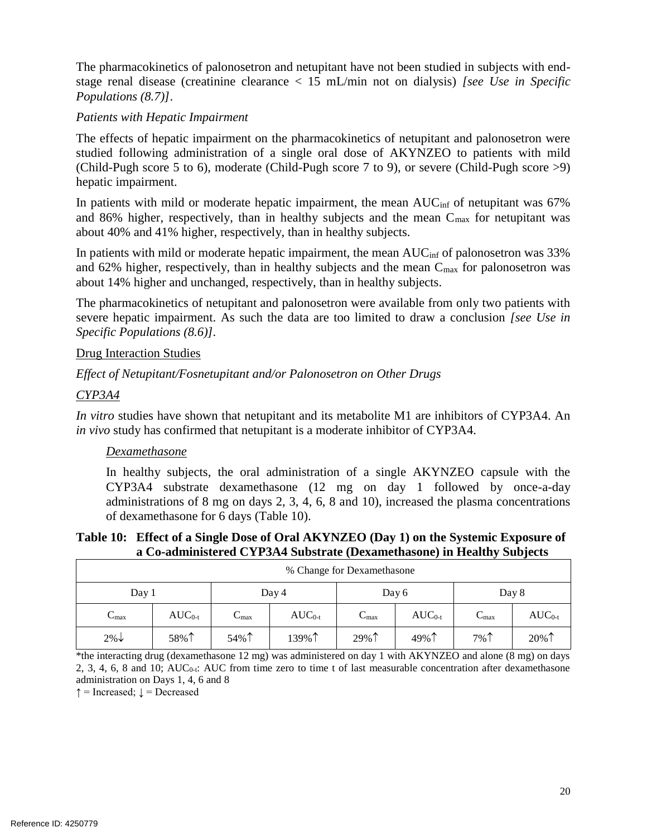stage renal disease (creatinine clearance < 15 mL/min not on dialysis) *[see Use in Specific*  The pharmacokinetics of palonosetron and netupitant have not been studied in subjects with end-*Populations (8.7)]*.

#### *Patients with Hepatic Impairment*

 (Child-Pugh score 5 to 6), moderate (Child-Pugh score 7 to 9), or severe (Child-Pugh score >9) The effects of hepatic impairment on the pharmacokinetics of netupitant and palonosetron were studied following administration of a single oral dose of AKYNZEO to patients with mild hepatic impairment.

In patients with mild or moderate hepatic impairment, the mean  $AUC_{inf}$  of netupitant was 67% and 86% higher, respectively, than in healthy subjects and the mean  $C_{\text{max}}$  for netupitant was about 40% and 41% higher, respectively, than in healthy subjects.

and 62% higher, respectively, than in healthy subjects and the mean  $C_{\text{max}}$  for palonosetron was In patients with mild or moderate hepatic impairment, the mean AUC<sub>inf</sub> of palonosetron was 33% about 14% higher and unchanged, respectively, than in healthy subjects.

 The pharmacokinetics of netupitant and palonosetron were available from only two patients with severe hepatic impairment. As such the data are too limited to draw a conclusion *[see Use in Specific Populations (8.6)].* 

#### Drug Interaction Studies

#### *Effect of Netupitant/Fosnetupitant and/or Palonosetron on Other Drugs*

#### *CYP3A4*

*In vitro* studies have shown that netupitant and its metabolite M1 are inhibitors of CYP3A4. An *in vivo* study has confirmed that netupitant is a moderate inhibitor of CYP3A4.

#### *Dexamethasone*

 In healthy subjects, the oral administration of a single AKYNZEO capsule with the CYP3A4 substrate dexamethasone (12 mg on day 1 followed by once-a-day administrations of 8 mg on days 2, 3, 4, 6, 8 and 10), increased the plasma concentrations of dexamethasone for 6 days [\(Table 10\)](#page-19-0).

#### <span id="page-19-0"></span>**Table 10: Effect of a Single Dose of Oral AKYNZEO (Day 1) on the Systemic Exposure of a Co-administered CYP3A4 Substrate (Dexamethasone) in Healthy Subjects**

| % Change for Dexamethasone       |             |                                                  |             |                  |             |                           |             |
|----------------------------------|-------------|--------------------------------------------------|-------------|------------------|-------------|---------------------------|-------------|
| Day 1<br>Day 8<br>Day 4<br>Day 6 |             |                                                  |             |                  |             |                           |             |
| $C_{\text{max}}$                 | $AUC_{0-t}$ | $\curvearrowright$<br>$\mathcal{L}_{\text{max}}$ | $AUC_{0-t}$ | $C_{\text{max}}$ | $AUC_{0-t}$ | $\mathbf{u}_{\text{max}}$ | $AUC_{0-t}$ |
| $2\% \downarrow$                 | 58%↑        | 54%↑                                             | 139%↑       | 29%个             | 49%↑        | $7\%$                     | 20%1        |

 \*the interacting drug (dexamethasone 12 mg) was administered on day 1 with AKYNZEO and alone (8 mg) on days 2, 3, 4, 6, 8 and 10; AUC<sub>0-t</sub>: AUC from time zero to time t of last measurable concentration after dexamethasone administration on Days 1, 4, 6 and 8

 $\uparrow$  = Increased;  $\downarrow$  = Decreased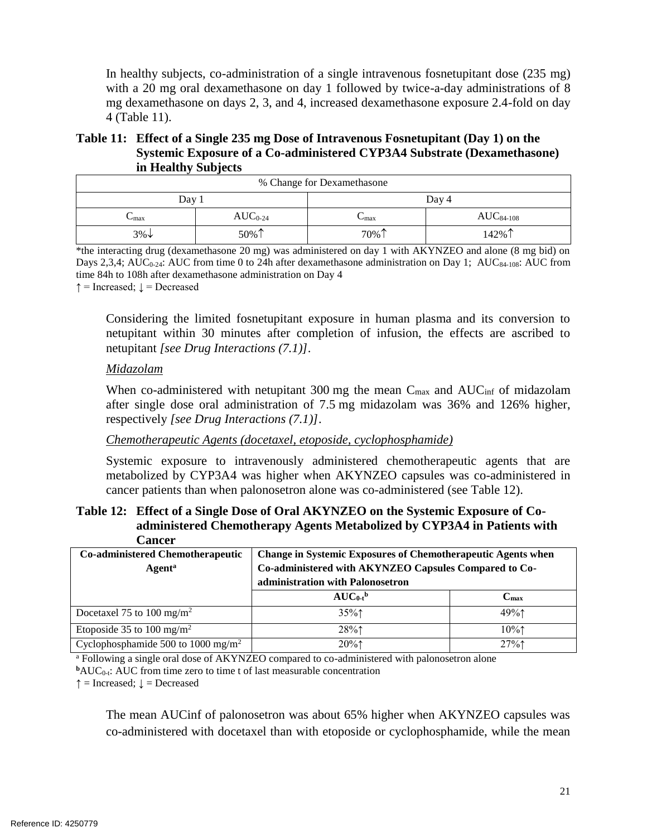In healthy subjects, co-administration of a single intravenous fosnetupitant dose (235 mg) with a 20 mg oral dexamethasone on day 1 followed by twice-a-day administrations of 8 mg dexamethasone on days 2, 3, and 4, increased dexamethasone exposure 2.4-fold on day 4 [\(Table 11\)](#page-20-0).

#### <span id="page-20-0"></span>**Table 11: Effect of a Single 235 mg Dose of Intravenous Fosnetupitant (Day 1) on the Systemic Exposure of a Co-administered CYP3A4 Substrate (Dexamethasone) in Healthy Subjects**

| % Change for Dexamethasone |                              |                                          |       |  |  |
|----------------------------|------------------------------|------------------------------------------|-------|--|--|
| Day 1                      |                              | Day 4                                    |       |  |  |
| $\cup$ max                 | $\mathrm{AUC}_{0\text{-}24}$ | $AUC84-108$<br>$\mathsf{L}_{\text{max}}$ |       |  |  |
| $3\% \downarrow$           | 50%↑                         | $70\%$                                   | 142%↑ |  |  |

 \*the interacting drug (dexamethasone 20 mg) was administered on day 1 with AKYNZEO and alone (8 mg bid) on Days 2,3,4; AUC<sub>0-24</sub>: AUC from time 0 to 24h after dexamethasone administration on Day 1; AUC<sub>84-108</sub>: AUC from time 84h to 108h after dexamethasone administration on Day 4

 $\uparrow$  = Increased;  $\downarrow$  = Decreased

 Considering the limited fosnetupitant exposure in human plasma and its conversion to netupitant within 30 minutes after completion of infusion, the effects are ascribed to netupitant *[see Drug Interactions (7.1)]*.

#### *Midazolam*

 after single dose oral administration of 7.5 mg midazolam was 36% and 126% higher, When co-administered with netupitant 300 mg the mean  $C_{\text{max}}$  and  $AUC_{\text{inf}}$  of midazolam respectively *[see Drug Interactions (7.1)]*.

#### *Chemotherapeutic Agents (docetaxel, etoposide, cyclophosphamide)*

Systemic exposure to intravenously administered chemotherapeutic agents that are metabolized by CYP3A4 was higher when AKYNZEO capsules was co-administered in cancer patients than when palonosetron alone was co-administered (see Table 12).

#### Table 12: Effect of a Single Dose of Oral AKYNZEO on the Systemic Exposure of Co**administered Chemotherapy Agents Metabolized by CYP3A4 in Patients with Cancer**

| <b>Co-administered Chemotherapeutic</b><br><b>Agent</b> <sup>a</sup> | <b>Change in Systemic Exposures of Chemotherapeutic Agents when</b><br>Co-administered with AKYNZEO Capsules Compared to Co-<br>administration with Palonosetron |                     |
|----------------------------------------------------------------------|------------------------------------------------------------------------------------------------------------------------------------------------------------------|---------------------|
|                                                                      | $AUC_{0}$ <sup>b</sup>                                                                                                                                           | $\mathbf{C}_{\max}$ |
| Docetaxel 75 to 100 mg/m <sup>2</sup>                                | $35\%$ 1                                                                                                                                                         | 49%                 |
| Etoposide 35 to 100 mg/m <sup>2</sup>                                | 28%                                                                                                                                                              | $10\%$ 1            |
| Cyclophosphamide 500 to 1000 mg/m <sup>2</sup>                       | 20%                                                                                                                                                              | 27%                 |

<sup>a</sup> Following a single oral dose of AKYNZEO compared to co-administered with palonosetron alone

**b**AUC<sub>0-t</sub>: AUC from time zero to time t of last measurable concentration

 $\uparrow$  = Increased;  $\downarrow$  = Decreased

The mean AUCinf of palonosetron was about 65% higher when AKYNZEO capsules was co-administered with docetaxel than with etoposide or cyclophosphamide, while the mean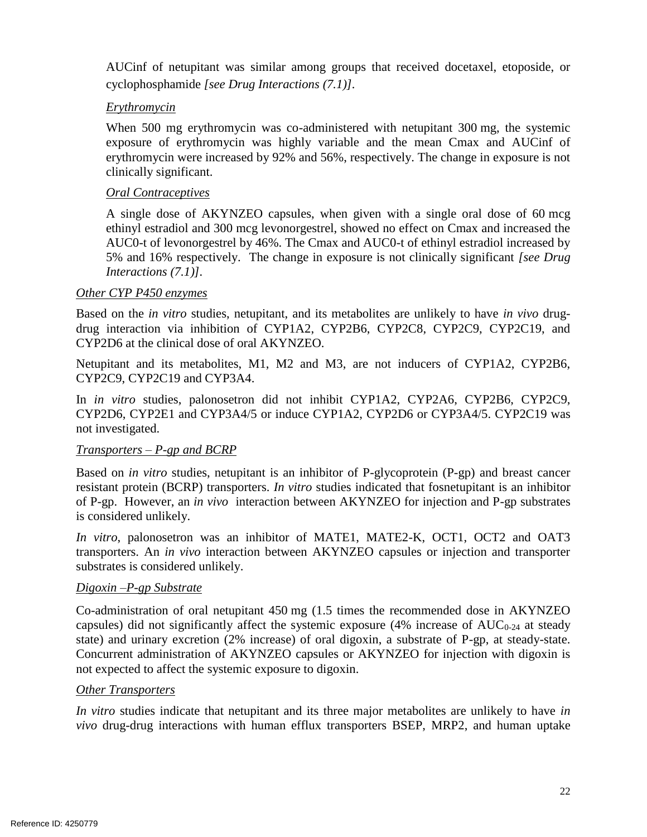AUCinf of netupitant was similar among groups that received docetaxel, etoposide, or cyclophosphamide *[see Drug Interactions (7.1)].* 

#### *Erythromycin*

 exposure of erythromycin was highly variable and the mean Cmax and AUCinf of erythromycin were increased by 92% and 56%, respectively. The change in exposure is not When 500 mg erythromycin was co-administered with netupitant 300 mg, the systemic clinically significant.

#### *Oral Contraceptives*

 A single dose of AKYNZEO capsules, when given with a single oral dose of 60 mcg AUC0-t of levonorgestrel by 46%. The Cmax and AUC0-t of ethinyl estradiol increased by 5% and 16% respectively. The change in exposure is not clinically significant *[see Drug*  ethinyl estradiol and 300 mcg levonorgestrel, showed no effect on Cmax and increased the *Interactions (7.1)].* 

#### *Other CYP P450 enzymes*

 Based on the *in vitro* studies, netupitant, and its metabolites are unlikely to have *in vivo* drugdrug interaction via inhibition of CYP1A2, CYP2B6, CYP2C8, CYP2C9, CYP2C19, and CYP2D6 at the clinical dose of oral AKYNZEO.

 Netupitant and its metabolites, M1, M2 and M3, are not inducers of CYP1A2, CYP2B6, CYP2C9, CYP2C19 and CYP3A4.

In *in vitro* studies, palonosetron did not inhibit CYP1A2, CYP2A6, CYP2B6, CYP2C9, CYP2D6, CYP2E1 and CYP3A4/5 or induce CYP1A2, CYP2D6 or CYP3A4/5. CYP2C19 was not investigated.

## *Transporters – P-gp and BCRP*

 of P-gp. However, an *in vivo* interaction between AKYNZEO for injection and P-gp substrates Based on *in vitro* studies, netupitant is an inhibitor of P-glycoprotein (P-gp) and breast cancer resistant protein (BCRP) transporters. *In vitro* studies indicated that fosnetupitant is an inhibitor is considered unlikely.

 transporters. An *in vivo* interaction between AKYNZEO capsules or injection and transporter *In vitro*, palonosetron was an inhibitor of MATE1, MATE2-K, OCT1, OCT2 and OAT3 substrates is considered unlikely.

#### *Digoxin –P-gp Substrate*

 Co-administration of oral netupitant 450 mg (1.5 times the recommended dose in AKYNZEO capsules) did not significantly affect the systemic exposure  $(4\%$  increase of AUC<sub>0-24</sub> at steady Concurrent administration of AKYNZEO capsules or AKYNZEO for injection with digoxin is state) and urinary excretion (2% increase) of oral digoxin, a substrate of P-gp, at steady-state. not expected to affect the systemic exposure to digoxin.

#### *Other Transporters*

 *In vitro* studies indicate that netupitant and its three major metabolites are unlikely to have *in vivo* drug-drug interactions with human efflux transporters BSEP, MRP2, and human uptake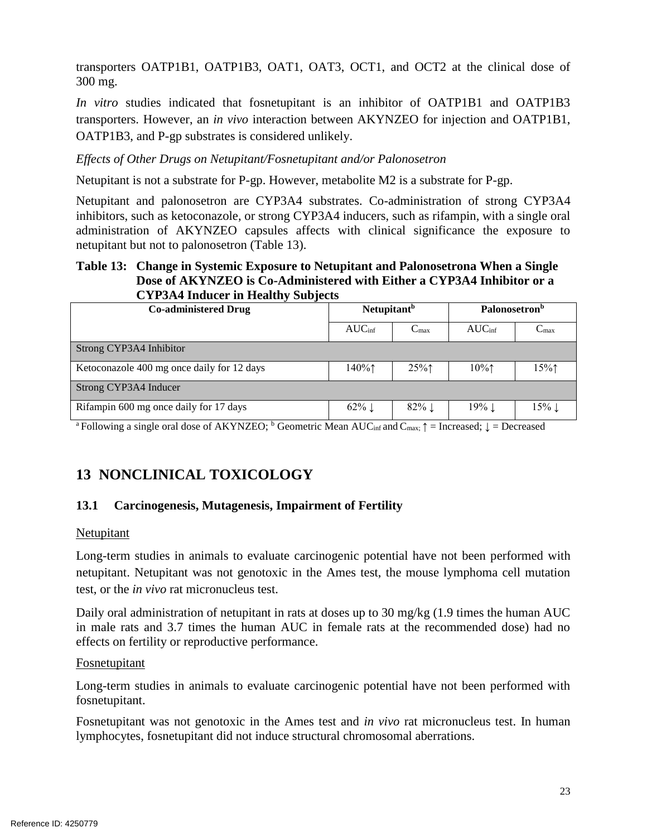transporters OATP1B1, OATP1B3, OAT1, OAT3, OCT1, and OCT2 at the clinical dose of 300 mg.

 transporters. However, an *in vivo* interaction between AKYNZEO for injection and OATP1B1, *In vitro* studies indicated that fosnetupitant is an inhibitor of OATP1B1 and OATP1B3 OATP1B3, and P-gp substrates is considered unlikely.

#### *Effects of Other Drugs on Netupitant/Fosnetupitant and/or Palonosetron*

Netupitant is not a substrate for P-gp. However, metabolite M2 is a substrate for P-gp.

 Netupitant and palonosetron are CYP3A4 substrates. Co-administration of strong CYP3A4 administration of AKYNZEO capsules affects with clinical significance the exposure to inhibitors, such as ketoconazole, or strong CYP3A4 inducers, such as rifampin, with a single oral netupitant but not to palonosetron [\(Table 13\)](#page-22-2).

#### <span id="page-22-2"></span>**Table 13: Change in Systemic Exposure to Netupitant and Palonosetrona When a Single Dose of AKYNZEO is Co-Administered with Either a CYP3A4 Inhibitor or a CYP3A4 Inducer in Healthy Subjects**

| <b>Co-administered Drug</b>                | $\sim$ 11 $\sim$ 11 $\sim$ 110 $\sim$ 110 $\sim$ 110 $\sim$ 110 $\sim$ 110 $\sim$ 120 $\sim$ 120 $\sim$ 120 $\sim$ 120 $\sim$ 120 $\sim$ 120 $\sim$ 120 $\sim$ 120 $\sim$ 120 $\sim$ 120 $\sim$ 120 $\sim$ 120 $\sim$ 120 $\sim$ 120 $\sim$ 120 $\sim$ 120 $\sim$ 120 $\sim$ 12<br>Netupitant <sup>b</sup> |                     | <b>Palonosetron</b> <sup>b</sup>        |                     |  |
|--------------------------------------------|------------------------------------------------------------------------------------------------------------------------------------------------------------------------------------------------------------------------------------------------------------------------------------------------------------|---------------------|-----------------------------------------|---------------------|--|
|                                            | AUC <sub>inf</sub>                                                                                                                                                                                                                                                                                         | $C_{\text{max}}$    | AUC <sub>inf</sub>                      | $C_{\text{max}}$    |  |
| Strong CYP3A4 Inhibitor                    |                                                                                                                                                                                                                                                                                                            |                     |                                         |                     |  |
| Ketoconazole 400 mg once daily for 12 days | $140\%$                                                                                                                                                                                                                                                                                                    | 25%                 | $10\%$ <sup><math>\uparrow</math></sup> | $15\%$ 1            |  |
| Strong CYP3A4 Inducer                      |                                                                                                                                                                                                                                                                                                            |                     |                                         |                     |  |
| Rifampin 600 mg once daily for 17 days     | $62\%$                                                                                                                                                                                                                                                                                                     | $82\%$ $\downarrow$ | $19\%$                                  | $15\%$ $\downarrow$ |  |

<sup>a</sup> Following a single oral dose of AKYNZEO; <sup>b</sup> Geometric Mean AUC<sub>inf</sub> and C<sub>max</sub>;  $\uparrow$  = Increased;  $\downarrow$  = Decreased

# <span id="page-22-0"></span>**13 NONCLINICAL TOXICOLOGY**

## <span id="page-22-1"></span>**13.1 Carcinogenesis, Mutagenesis, Impairment of Fertility**

#### **Netupitant**

 Long-term studies in animals to evaluate carcinogenic potential have not been performed with netupitant. Netupitant was not genotoxic in the Ames test, the mouse lymphoma cell mutation test, or the *in vivo* rat micronucleus test.

 in male rats and 3.7 times the human AUC in female rats at the recommended dose) had no Daily oral administration of netupitant in rats at doses up to 30 mg/kg (1.9 times the human AUC effects on fertility or reproductive performance.

#### Fosnetupitant

 Long-term studies in animals to evaluate carcinogenic potential have not been performed with fosnetupitant.

Fosnetupitant was not genotoxic in the Ames test and *in vivo* rat micronucleus test. In human lymphocytes, fosnetupitant did not induce structural chromosomal aberrations.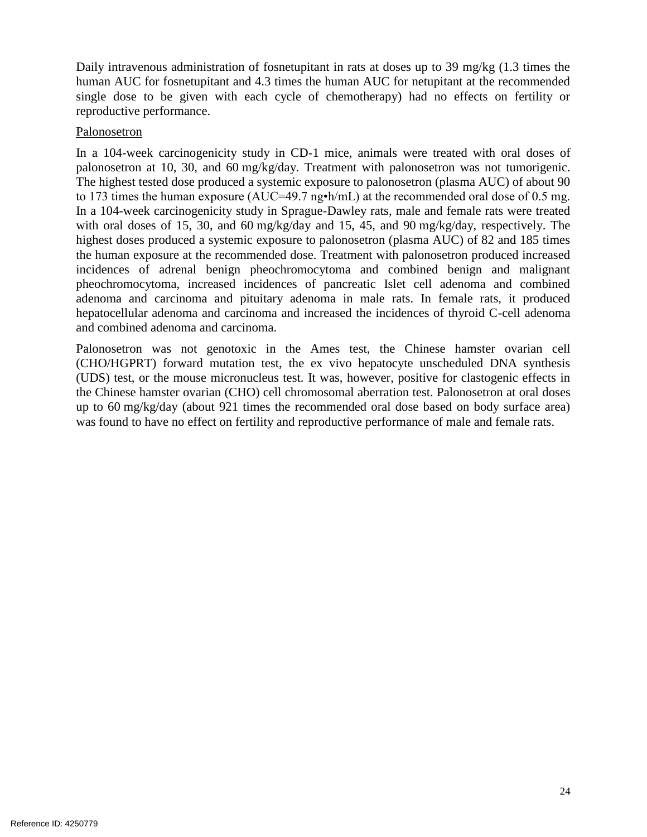Daily intravenous administration of fosnetupitant in rats at doses up to 39 mg/kg (1.3 times the human AUC for fosnetupitant and 4.3 times the human AUC for netupitant at the recommended single dose to be given with each cycle of chemotherapy) had no effects on fertility or reproductive performance.

#### Palonosetron

 In a 104-week carcinogenicity study in CD-1 mice, animals were treated with oral doses of In a 104-week carcinogenicity study in Sprague-Dawley rats, male and female rats were treated highest doses produced a systemic exposure to palonosetron (plasma AUC) of 82 and 185 times pheochromocytoma, increased incidences of pancreatic Islet cell adenoma and combined adenoma and carcinoma and pituitary adenoma in male rats. In female rats, it produced hepatocellular adenoma and carcinoma and increased the incidences of thyroid C-cell adenoma palonosetron at 10, 30, and 60 mg/kg/day. Treatment with palonosetron was not tumorigenic. The highest tested dose produced a systemic exposure to palonosetron (plasma AUC) of about 90 to 173 times the human exposure (AUC=49.7 ng•h/mL) at the recommended oral dose of 0.5 mg. with oral doses of 15, 30, and 60 mg/kg/day and 15, 45, and 90 mg/kg/day, respectively. The the human exposure at the recommended dose. Treatment with palonosetron produced increased incidences of adrenal benign pheochromocytoma and combined benign and malignant and combined adenoma and carcinoma.

 (CHO/HGPRT) forward mutation test, the ex vivo hepatocyte unscheduled DNA synthesis (UDS) test, or the mouse micronucleus test. It was, however, positive for clastogenic effects in up to 60 mg/kg/day (about 921 times the recommended oral dose based on body surface area) Palonosetron was not genotoxic in the Ames test, the Chinese hamster ovarian cell the Chinese hamster ovarian (CHO) cell chromosomal aberration test. Palonosetron at oral doses was found to have no effect on fertility and reproductive performance of male and female rats.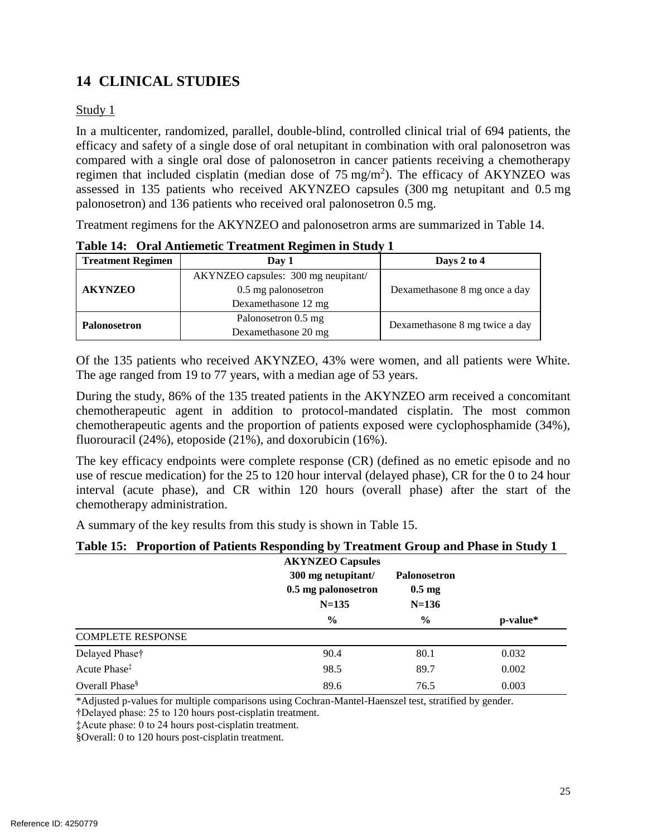# <span id="page-24-0"></span>**14 CLINICAL STUDIES**

#### Study 1

 efficacy and safety of a single dose of oral netupitant in combination with oral palonosetron was compared with a single oral dose of palonosetron in cancer patients receiving a chemotherapy regimen that included cisplatin (median dose of  $75 \text{ mg/m}^2$ ). The efficacy of AKYNZEO was assessed in 135 patients who received AKYNZEO capsules (300 mg netupitant and 0.5 mg In a multicenter, randomized, parallel, double-blind, controlled clinical trial of 694 patients, the palonosetron) and 136 patients who received oral palonosetron 0.5 mg.

Treatment regimens for the AKYNZEO and palonosetron arms are summarized in [Table 14.](#page-24-1)

| <b>Treatment Regimen</b> | Day 1                                                | Days 2 to 4                    |  |
|--------------------------|------------------------------------------------------|--------------------------------|--|
|                          | AKYNZEO capsules: 300 mg neupitant/                  |                                |  |
| <b>AKYNZEO</b>           | Dexamethasone 8 mg once a day<br>0.5 mg palonosetron |                                |  |
|                          | Dexamethasone 12 mg                                  |                                |  |
|                          | Palonosetron 0.5 mg                                  |                                |  |
| <b>Palonosetron</b>      | Dexamethasone 20 mg                                  | Dexamethasone 8 mg twice a day |  |

<span id="page-24-1"></span>**Table 14: Oral Antiemetic Treatment Regimen in Study 1** 

 Of the 135 patients who received AKYNZEO, 43% were women, and all patients were White. The age ranged from 19 to 77 years, with a median age of 53 years.

 chemotherapeutic agent in addition to protocol-mandated cisplatin. The most common chemotherapeutic agents and the proportion of patients exposed were cyclophosphamide (34%), During the study, 86% of the 135 treated patients in the AKYNZEO arm received a concomitant fluorouracil (24%), etoposide (21%), and doxorubicin (16%).

 The key efficacy endpoints were complete response (CR) (defined as no emetic episode and no interval (acute phase), and CR within 120 hours (overall phase) after the start of the use of rescue medication) for the 25 to 120 hour interval (delayed phase), CR for the 0 to 24 hour chemotherapy administration.

A summary of the key results from this study is shown in [Table 15.](#page-24-2)

#### <span id="page-24-2"></span>**Table 15: Proportion of Patients Responding by Treatment Group and Phase in Study 1**

|                            | <b>AKYNZEO Capsules</b><br>300 mg netupitant/<br>0.5 mg palonosetron<br>$N = 135$ | Palonosetron<br>$0.5 \text{ mg}$<br>$N=136$ |          |
|----------------------------|-----------------------------------------------------------------------------------|---------------------------------------------|----------|
|                            | $\frac{6}{9}$                                                                     | $\frac{0}{0}$                               | p-value* |
| <b>COMPLETE RESPONSE</b>   |                                                                                   |                                             |          |
| Delayed Phase†             | 90.4                                                                              | 80.1                                        | 0.032    |
| Acute Phase <sup>‡</sup>   | 98.5                                                                              | 89.7                                        | 0.002    |
| Overall Phase <sup>§</sup> | 89.6                                                                              | 76.5                                        | 0.003    |

\*Adjusted p-values for multiple comparisons using Cochran-Mantel-Haenszel test, stratified by gender.

†Delayed phase: 25 to 120 hours post-cisplatin treatment.

‡Acute phase: 0 to 24 hours post-cisplatin treatment.

§Overall: 0 to 120 hours post-cisplatin treatment.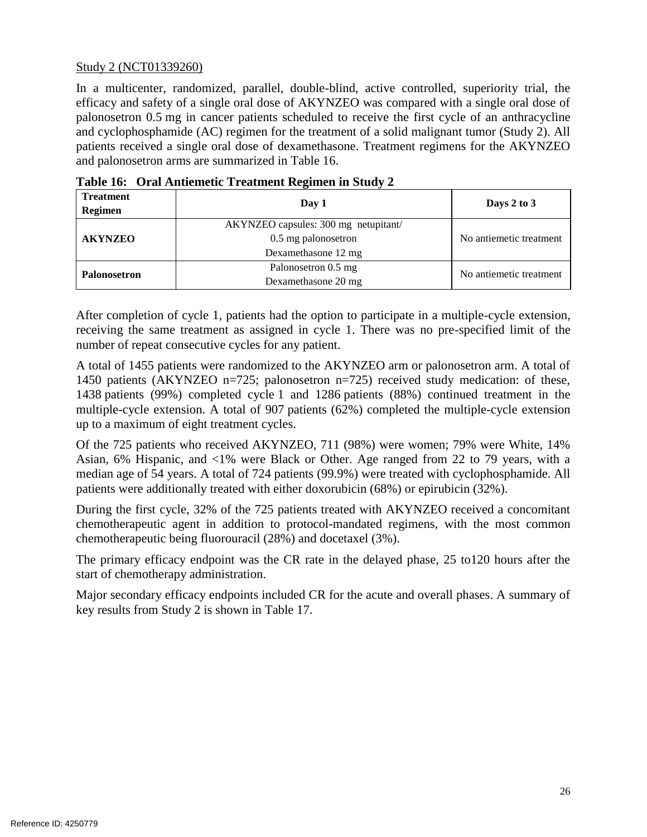#### Study 2 (NCT01339260)

 In a multicenter, randomized, parallel, double-blind, active controlled, superiority trial, the efficacy and safety of a single oral dose of AKYNZEO was compared with a single oral dose of patients received a single oral dose of dexamethasone. Treatment regimens for the AKYNZEO palonosetron 0.5 mg in cancer patients scheduled to receive the first cycle of an anthracycline and cyclophosphamide (AC) regimen for the treatment of a solid malignant tumor (Study 2). All and palonosetron arms are summarized in [Table 16.](#page-25-0)

| <b>Treatment</b><br>Regimen | Day 1                                                                              | Days 2 to $3$           |
|-----------------------------|------------------------------------------------------------------------------------|-------------------------|
| <b>AKYNZEO</b>              | AKYNZEO capsules: 300 mg netupitant/<br>0.5 mg palonosetron<br>Dexamethasone 12 mg | No antiemetic treatment |
| <b>Palonosetron</b>         | Palonosetron 0.5 mg<br>Dexamethasone 20 mg                                         | No antiemetic treatment |

<span id="page-25-0"></span>

| Table 16: Oral Antiemetic Treatment Regimen in Study 2 |  |  |
|--------------------------------------------------------|--|--|
|                                                        |  |  |

 After completion of cycle 1, patients had the option to participate in a multiple-cycle extension, receiving the same treatment as assigned in cycle 1. There was no pre-specified limit of the number of repeat consecutive cycles for any patient.

 A total of 1455 patients were randomized to the AKYNZEO arm or palonosetron arm. A total of multiple-cycle extension. A total of 907 patients (62%) completed the multiple-cycle extension 1450 patients (AKYNZEO n=725; palonosetron n=725) received study medication: of these, 1438 patients (99%) completed cycle 1 and 1286 patients (88%) continued treatment in the up to a maximum of eight treatment cycles.

 Of the 725 patients who received AKYNZEO, 711 (98%) were women; 79% were White, 14% patients were additionally treated with either doxorubicin (68%) or epirubicin (32%). Asian, 6% Hispanic, and <1% were Black or Other. Age ranged from 22 to 79 years, with a median age of 54 years. A total of 724 patients (99.9%) were treated with cyclophosphamide. All

 During the first cycle, 32% of the 725 patients treated with AKYNZEO received a concomitant chemotherapeutic agent in addition to protocol-mandated regimens, with the most common chemotherapeutic being fluorouracil (28%) and docetaxel (3%).

 The primary efficacy endpoint was the CR rate in the delayed phase, 25 to120 hours after the start of chemotherapy administration.

 Major secondary efficacy endpoints included CR for the acute and overall phases. A summary of key results from Study 2 is shown in [Table 17.](#page-26-0)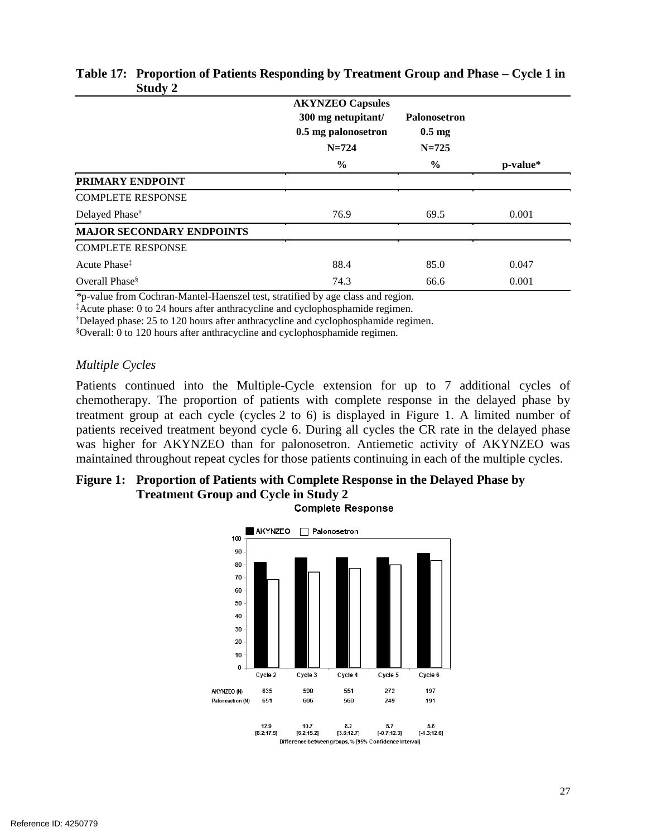|                                  | <b>AKYNZEO Capsules</b><br>300 mg netupitant/<br>0.5 mg palonosetron<br>$N = 724$ | <b>Palonosetron</b><br>$0.5 \text{ mg}$<br>$N = 725$ |          |
|----------------------------------|-----------------------------------------------------------------------------------|------------------------------------------------------|----------|
|                                  | $\frac{0}{0}$                                                                     | $\frac{6}{9}$                                        | p-value* |
| PRIMARY ENDPOINT                 |                                                                                   |                                                      |          |
| <b>COMPLETE RESPONSE</b>         |                                                                                   |                                                      |          |
| Delayed Phase <sup>†</sup>       | 76.9                                                                              | 69.5                                                 | 0.001    |
| <b>MAJOR SECONDARY ENDPOINTS</b> |                                                                                   |                                                      |          |
| <b>COMPLETE RESPONSE</b>         |                                                                                   |                                                      |          |
| Acute Phase <sup>‡</sup>         | 88.4                                                                              | 85.0                                                 | 0.047    |
| Overall Phase $\delta$           | 74.3                                                                              | 66.6                                                 | 0.001    |

#### <span id="page-26-0"></span>**Table 17: Proportion of Patients Responding by Treatment Group and Phase – Cycle 1 in Study 2**

*\**p-value from Cochran-Mantel-Haenszel test, stratified by age class and region.

‡ Acute phase: 0 to 24 hours after anthracycline and cyclophosphamide regimen.

† Delayed phase: 25 to 120 hours after anthracycline and cyclophosphamide regimen.

§ Overall: 0 to 120 hours after anthracycline and cyclophosphamide regimen.

#### *Multiple Cycles*

 Patients continued into the Multiple-Cycle extension for up to 7 additional cycles of chemotherapy. The proportion of patients with complete response in the delayed phase by treatment group at each cycle (cycles 2 to 6) is displayed in [Figure 1.](#page-26-1) A limited number of patients received treatment beyond cycle 6. During all cycles the CR rate in the delayed phase was higher for AKYNZEO than for palonosetron. Antiemetic activity of AKYNZEO was maintained throughout repeat cycles for those patients continuing in each of the multiple cycles.

# <span id="page-26-1"></span>**Figure 1: Proportion of Patients with Complete Response in the Delayed Phase by Treatment Group and Cycle in Study 2**

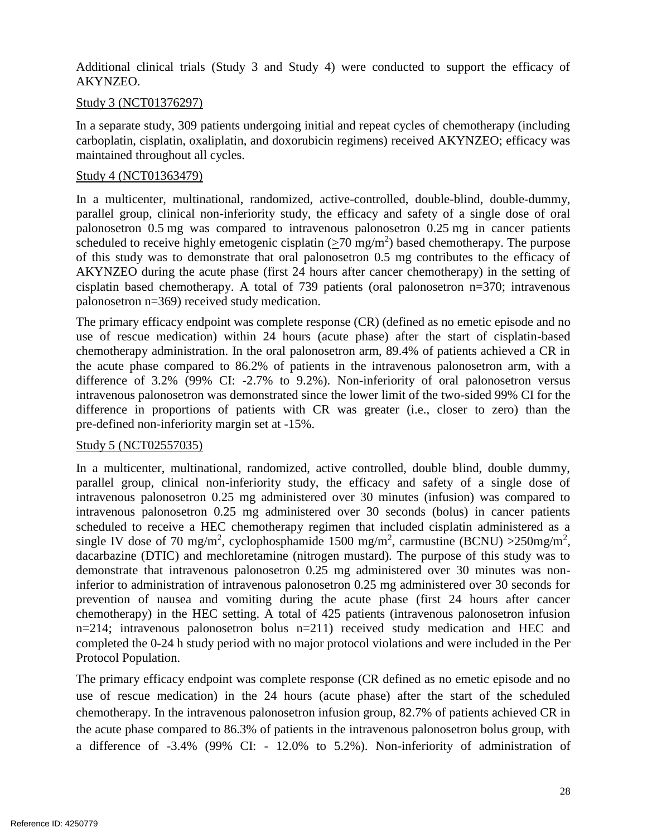Additional clinical trials (Study 3 and Study 4) were conducted to support the efficacy of AKYNZEO.

#### Study 3 (NCT01376297)

 In a separate study, 309 patients undergoing initial and repeat cycles of chemotherapy (including carboplatin, cisplatin, oxaliplatin, and doxorubicin regimens) received AKYNZEO; efficacy was maintained throughout all cycles.

#### Study 4 (NCT01363479)

 parallel group, clinical non-inferiority study, the efficacy and safety of a single dose of oral scheduled to receive highly emetogenic cisplatin  $(\geq 70 \text{ mg/m}^2)$  based chemotherapy. The purpose of this study was to demonstrate that oral palonosetron 0.5 mg contributes to the efficacy of AKYNZEO during the acute phase (first 24 hours after cancer chemotherapy) in the setting of In a multicenter, multinational, randomized, active-controlled, double-blind, double-dummy, palonosetron 0.5 mg was compared to intravenous palonosetron 0.25 mg in cancer patients cisplatin based chemotherapy. A total of 739 patients (oral palonosetron n=370; intravenous palonosetron n=369) received study medication.

 The primary efficacy endpoint was complete response (CR) (defined as no emetic episode and no use of rescue medication) within 24 hours (acute phase) after the start of cisplatin-based chemotherapy administration. In the oral palonosetron arm, 89.4% of patients achieved a CR in the acute phase compared to 86.2% of patients in the intravenous palonosetron arm, with a difference of 3.2% (99% CI: -2.7% to 9.2%). Non-inferiority of oral palonosetron versus intravenous palonosetron was demonstrated since the lower limit of the two-sided 99% CI for the difference in proportions of patients with CR was greater (i.e., closer to zero) than the pre-defined non-inferiority margin set at -15%.

#### Study 5 (NCT02557035)

 In a multicenter, multinational, randomized, active controlled, double blind, double dummy, parallel group, clinical non-inferiority study, the efficacy and safety of a single dose of scheduled to receive a HEC chemotherapy regimen that included cisplatin administered as a single IV dose of 70 mg/m<sup>2</sup>, cyclophosphamide 1500 mg/m<sup>2</sup>, carmustine (BCNU) >  $250$ mg/m<sup>2</sup>, dacarbazine (DTIC) and mechloretamine (nitrogen mustard). The purpose of this study was to prevention of nausea and vomiting during the acute phase (first 24 hours after cancer intravenous palonosetron 0.25 mg administered over 30 minutes (infusion) was compared to intravenous palonosetron 0.25 mg administered over 30 seconds (bolus) in cancer patients demonstrate that intravenous palonosetron 0.25 mg administered over 30 minutes was noninferior to administration of intravenous palonosetron 0.25 mg administered over 30 seconds for chemotherapy) in the HEC setting. A total of 425 patients (intravenous palonosetron infusion n=214; intravenous palonosetron bolus n=211) received study medication and HEC and completed the 0-24 h study period with no major protocol violations and were included in the Per Protocol Population.

 The primary efficacy endpoint was complete response (CR defined as no emetic episode and no use of rescue medication) in the 24 hours (acute phase) after the start of the scheduled chemotherapy. In the intravenous palonosetron infusion group, 82.7% of patients achieved CR in the acute phase compared to 86.3% of patients in the intravenous palonosetron bolus group, with a difference of -3.4% (99% CI: - 12.0% to 5.2%). Non-inferiority of administration of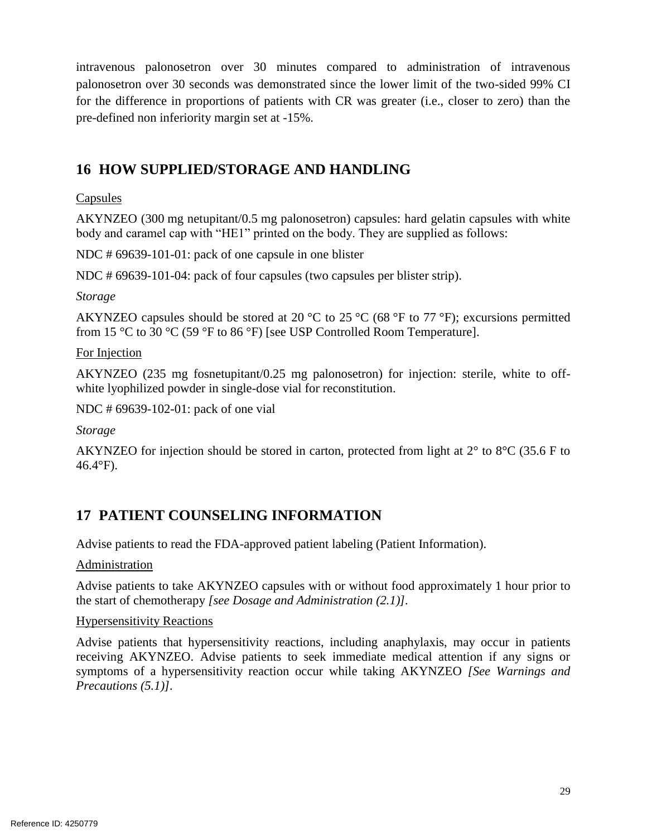palonosetron over 30 seconds was demonstrated since the lower limit of the two-sided 99% CI for the difference in proportions of patients with CR was greater (i.e., closer to zero) than the intravenous palonosetron over 30 minutes compared to administration of intravenous pre-defined non inferiority margin set at -15%.

# <span id="page-28-1"></span>**16 HOW SUPPLIED/STORAGE AND HANDLING**

#### Capsules

AKYNZEO (300 mg netupitant/0.5 mg palonosetron) capsules: hard gelatin capsules with white body and caramel cap with "HE1" printed on the body. They are supplied as follows:

NDC # 69639-101-01: pack of one capsule in one blister

NDC # 69639-101-04: pack of four capsules (two capsules per blister strip).

*Storage* 

AKYNZEO capsules should be stored at 20  $^{\circ}$ C to 25  $^{\circ}$ C (68  $^{\circ}$ F to 77  $^{\circ}$ F); excursions permitted from 15 °C to 30 °C (59 °F to 86 °F) [see USP Controlled Room Temperature].

For Injection

 AKYNZEO (235 mg fosnetupitant/0.25 mg palonosetron) for injection: sterile, white to offwhite lyophilized powder in single-dose vial for reconstitution.

NDC # 69639-102-01: pack of one vial

*Storage* 

 AKYNZEO for injection should be stored in carton, protected from light at 2° to 8°C (35.6 F to 46.4°F).

# <span id="page-28-0"></span>**17 PATIENT COUNSELING INFORMATION**

Advise patients to read the FDA-approved patient labeling (Patient Information).

Administration

 Advise patients to take AKYNZEO capsules with or without food approximately 1 hour prior to the start of chemotherapy *[see Dosage and Administration (2.1)].* 

#### Hypersensitivity Reactions

 receiving AKYNZEO. Advise patients to seek immediate medical attention if any signs or Advise patients that hypersensitivity reactions, including anaphylaxis, may occur in patients symptoms of a hypersensitivity reaction occur while taking AKYNZEO *[See Warnings and Precautions (5.1)].*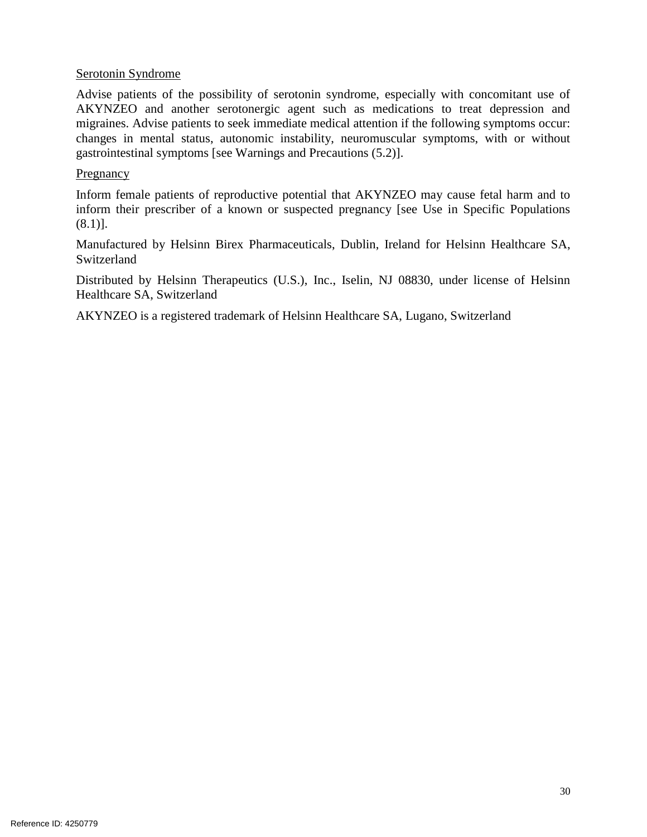#### Serotonin Syndrome

 Advise patients of the possibility of serotonin syndrome, especially with concomitant use of AKYNZEO and another serotonergic agent such as medications to treat depression and migraines. Advise patients to seek immediate medical attention if the following symptoms occur: changes in mental status, autonomic instability, neuromuscular symptoms, with or without gastrointestinal symptoms [see Warnings and Precautions [\(5.2\)](#page-3-4)].

#### Pregnancy

 Inform female patients of reproductive potential that AKYNZEO may cause fetal harm and to inform their prescriber of a known or suspected pregnancy [see Use in Specific Populations  $(8.1)$ ].

Manufactured by Helsinn Birex Pharmaceuticals, Dublin, Ireland for Helsinn Healthcare SA, Switzerland

Distributed by Helsinn Therapeutics (U.S.), Inc., Iselin, NJ 08830, under license of Helsinn Healthcare SA, Switzerland

AKYNZEO is a registered trademark of Helsinn Healthcare SA, Lugano, Switzerland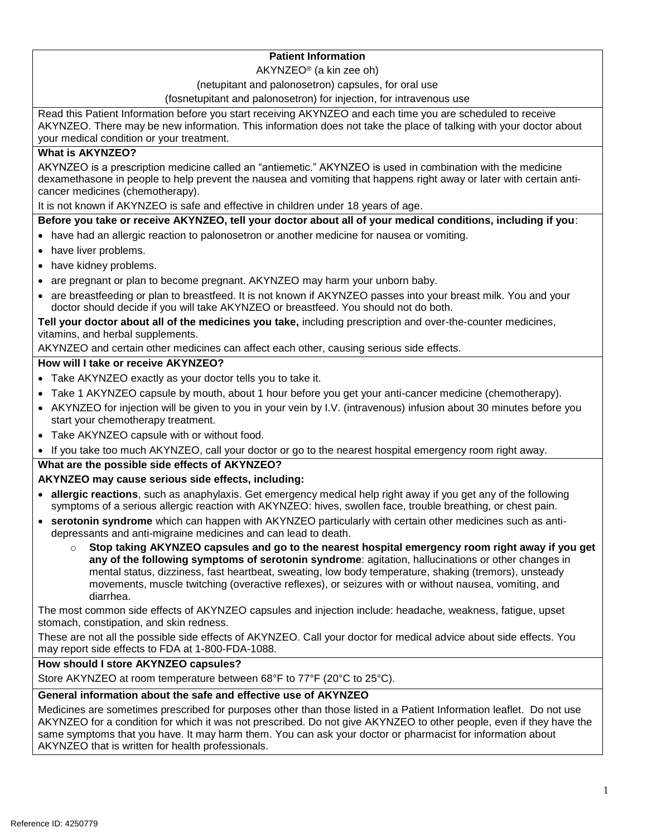#### **Patient Information**

AKYNZEO® (a kin zee oh)

#### (netupitant and palonosetron) capsules, for oral use

#### (fosnetupitant and palonosetron) for injection, for intravenous use

 Read this Patient Information before you start receiving AKYNZEO and each time you are scheduled to receive AKYNZEO. There may be new information. This information does not take the place of talking with your doctor about your medical condition or your treatment.

#### **What is AKYNZEO?**

 AKYNZEO is a prescription medicine called an "antiemetic." AKYNZEO is used in combination with the medicine dexamethasone in people to help prevent the nausea and vomiting that happens right away or later with certain anticancer medicines (chemotherapy).

It is not known if AKYNZEO is safe and effective in children under 18 years of age.

#### **Before you take or receive AKYNZEO, tell your doctor about all of your medical conditions, including if you**:

- have had an allergic reaction to palonosetron or another medicine for nausea or vomiting.
- have liver problems.
- have kidney problems.
- are pregnant or plan to become pregnant. AKYNZEO may harm your unborn baby.
- are breastfeeding or plan to breastfeed. It is not known if AKYNZEO passes into your breast milk. You and your doctor should decide if you will take AKYNZEO or breastfeed. You should not do both.

 **Tell your doctor about all of the medicines you take,** including prescription and over-the-counter medicines, vitamins, and herbal supplements.

AKYNZEO and certain other medicines can affect each other, causing serious side effects.

#### **How will I take or receive AKYNZEO?**

- Take AKYNZEO exactly as your doctor tells you to take it.
- Take 1 AKYNZEO capsule by mouth, about 1 hour before you get your anti-cancer medicine (chemotherapy).
- start your chemotherapy treatment. AKYNZEO for injection will be given to you in your vein by I.V. (intravenous) infusion about 30 minutes before you
- Take AKYNZEO capsule with or without food.
- If you take too much AKYNZEO, call your doctor or go to the nearest hospital emergency room right away.

#### **What are the possible side effects of AKYNZEO?**

#### **AKYNZEO may cause serious side effects, including:**

- **allergic reactions**, such as anaphylaxis. Get emergency medical help right away if you get any of the following symptoms of a serious allergic reaction with AKYNZEO: hives, swollen face, trouble breathing, or chest pain.
- **serotonin syndrome** which can happen with AKYNZEO particularly with certain other medicines such as antidepressants and anti-migraine medicines and can lead to death.
	- o **Stop taking AKYNZEO capsules and go to the nearest hospital emergency room right away if you get any of the following symptoms of serotonin syndrome**: agitation, hallucinations or other changes in mental status, dizziness, fast heartbeat, sweating, low body temperature, shaking (tremors), unsteady movements, muscle twitching (overactive reflexes), or seizures with or without nausea, vomiting, and diarrhea.

The most common side effects of AKYNZEO capsules and injection include: headache, weakness, fatigue, upset stomach, constipation, and skin redness.

These are not all the possible side effects of AKYNZEO. Call your doctor for medical advice about side effects. You may report side effects to FDA at 1-800-FDA-1088.

#### **How should I store AKYNZEO capsules?**

Store AKYNZEO at room temperature between 68°F to 77°F (20°C to 25°C).

#### **General information about the safe and effective use of AKYNZEO**

 Medicines are sometimes prescribed for purposes other than those listed in a Patient Information leaflet. Do not use AKYNZEO for a condition for which it was not prescribed. Do not give AKYNZEO to other people, even if they have the AKYNZEO that is written for health professionals. same symptoms that you have. It may harm them. You can ask your doctor or pharmacist for information about